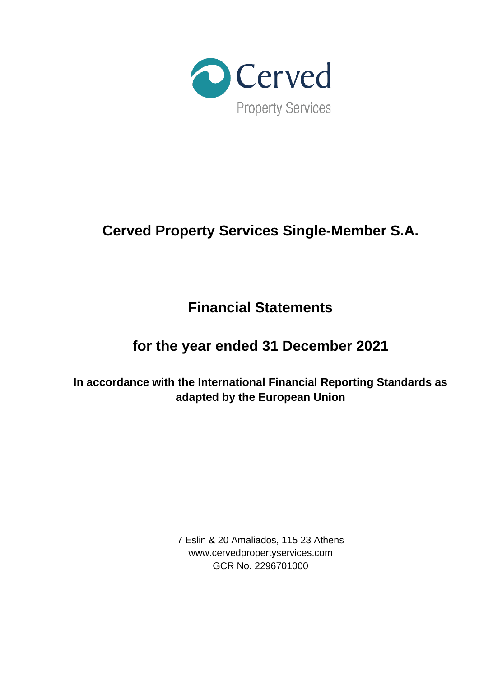

# **Cerved Property Services Single-Member S.A.**

**Financial Statements**

# **for the year ended 31 December 2021**

**In accordance with the International Financial Reporting Standards as adapted by the European Union**

> 7 Eslin & 20 Amaliados, 115 23 Athens www.cervedpropertyservices.com GCR No. 2296701000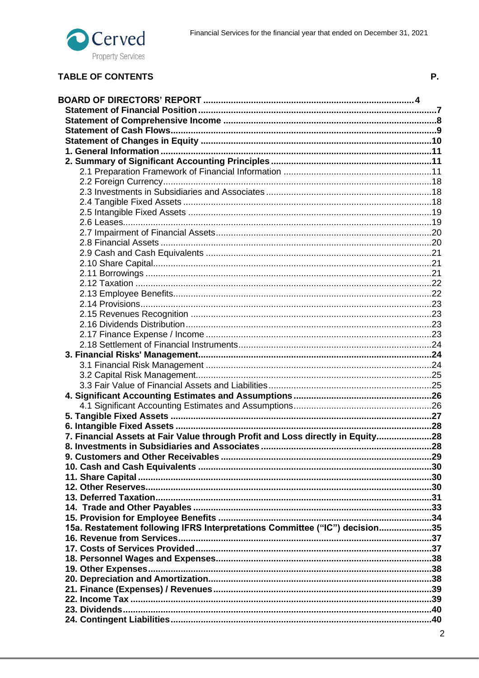

# **TABLE OF CONTENTS**

| 7. Financial Assets at Fair Value through Profit and Loss directly in Equity28 |  |
|--------------------------------------------------------------------------------|--|
|                                                                                |  |
|                                                                                |  |
|                                                                                |  |
|                                                                                |  |
|                                                                                |  |
|                                                                                |  |
|                                                                                |  |
| 15a. Restatement following IFRS Interpretations Committee ("IC") decision35    |  |
|                                                                                |  |
|                                                                                |  |
|                                                                                |  |
|                                                                                |  |
|                                                                                |  |
|                                                                                |  |
|                                                                                |  |
|                                                                                |  |
|                                                                                |  |
|                                                                                |  |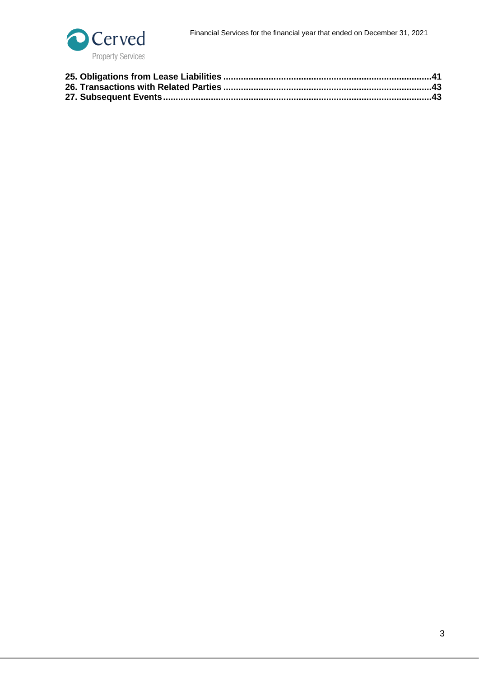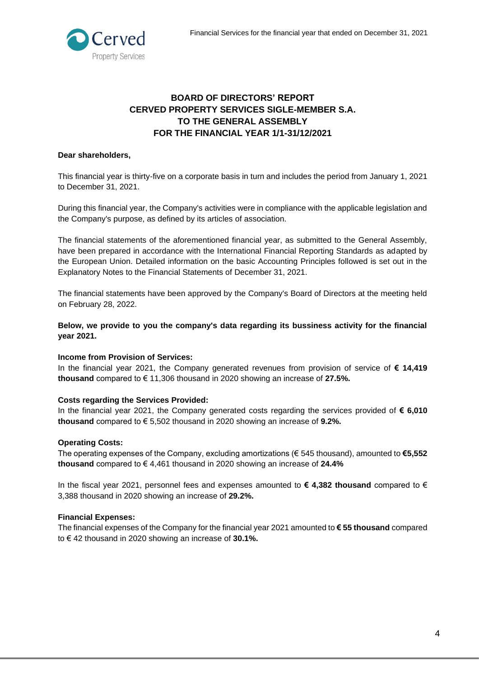

# **BOARD OF DIRECTORS' REPORT CERVED PROPERTY SERVICES SIGLE-MEMBER S.A. TO THE GENERAL ASSEMBLY FOR THE FINANCIAL YEAR 1/1-31/12/2021**

# <span id="page-3-0"></span>**Dear shareholders,**

This financial year is thirty-five on a corporate basis in turn and includes the period from January 1, 2021 to December 31, 2021.

During this financial year, the Company's activities were in compliance with the applicable legislation and the Company's purpose, as defined by its articles of association.

The financial statements of the aforementioned financial year, as submitted to the General Assembly, have been prepared in accordance with the International Financial Reporting Standards as adapted by the European Union. Detailed information on the basic Accounting Principles followed is set out in the Explanatory Notes to the Financial Statements of December 31, 2021.

The financial statements have been approved by the Company's Board of Directors at the meeting held on February 28, 2022.

**Below, we provide to you the company's data regarding its bussiness activity for the financial year 2021.**

#### **Income from Provision of Services:**

In the financial year 2021, the Company generated revenues from provision of service of **€ 14,419 thousand** compared to € 11,306 thousand in 2020 showing an increase of **27.5%.**

#### **Costs regarding the Services Provided:**

In the financial year 2021, the Company generated costs regarding the services provided of **€ 6,010 thousand** compared to € 5,502 thousand in 2020 showing an increase of **9.2%.**

#### **Operating Costs:**

The operating expenses of the Company, excluding amortizations (€ 545 thousand), amounted to **€5,552 thousand** compared to € 4,461 thousand in 2020 showing an increase of **24.4%**

In the fiscal year 2021, personnel fees and expenses amounted to **€ 4,382 thousand** compared to € 3,388 thousand in 2020 showing an increase of **29.2%.** 

#### **Financial Expenses:**

The financial expenses of the Company for the financial year 2021 amounted to **€ 55 thousand** compared to € 42 thousand in 2020 showing an increase of **30.1%.**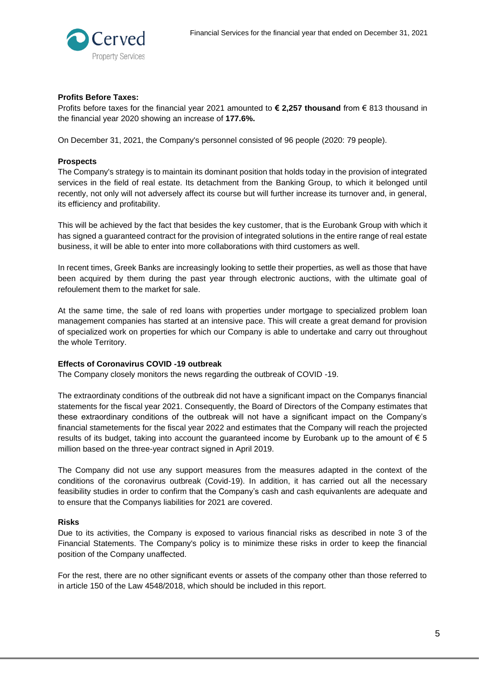

# **Profits Before Taxes:**

Profits before taxes for the financial year 2021 amounted to **€ 2,257 thousand** from € 813 thousand in the financial year 2020 showing an increase of **177.6%.**

On December 31, 2021, the Company's personnel consisted of 96 people (2020: 79 people).

#### **Prospects**

The Company's strategy is to maintain its dominant position that holds today in the provision of integrated services in the field of real estate. Its detachment from the Banking Group, to which it belonged until recently, not only will not adversely affect its course but will further increase its turnover and, in general, its efficiency and profitability.

This will be achieved by the fact that besides the key customer, that is the Eurobank Group with which it has signed a guaranteed contract for the provision of integrated solutions in the entire range of real estate business, it will be able to enter into more collaborations with third customers as well.

In recent times, Greek Banks are increasingly looking to settle their properties, as well as those that have been acquired by them during the past year through electronic auctions, with the ultimate goal of refoulement them to the market for sale.

At the same time, the sale of red loans with properties under mortgage to specialized problem loan management companies has started at an intensive pace. This will create a great demand for provision of specialized work on properties for which our Company is able to undertake and carry out throughout the whole Territory.

#### **Effects of Coronavirus COVID -19 outbreak**

The Company closely monitors the news regarding the outbreak of COVID -19.

The extraordinaty conditions of the outbreak did not have a significant impact on the Companys financial statements for the fiscal year 2021. Consequently, the Board of Directors of the Company estimates that these extraordinary conditions of the outbreak will not have a significant impact on the Company's financial stametements for the fiscal year 2022 and estimates that the Company will reach the projected results of its budget, taking into account the guaranteed income by Eurobank up to the amount of  $\epsilon$  5 million based on the three-year contract signed in April 2019.

The Company did not use any support measures from the measures adapted in the context of the conditions of the coronavirus outbreak (Covid-19). In addition, it has carried out all the necessary feasibility studies in order to confirm that the Company's cash and cash equivanlents are adequate and to ensure that the Companys liabilities for 2021 are covered.

#### **Risks**

Due to its activities, the Company is exposed to various financial risks as described in note 3 of the Financial Statements. The Company's policy is to minimize these risks in order to keep the financial position of the Company unaffected.

For the rest, there are no other significant events or assets of the company other than those referred to in article 150 of the Law 4548/2018, which should be included in this report.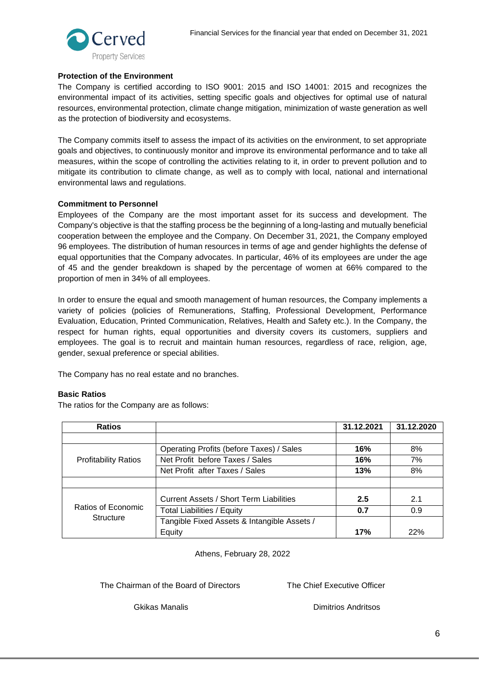

# **Protection of the Environment**

The Company is certified according to ISO 9001: 2015 and ISO 14001: 2015 and recognizes the environmental impact of its activities, setting specific goals and objectives for optimal use of natural resources, environmental protection, climate change mitigation, minimization of waste generation as well as the protection of biodiversity and ecosystems.

The Company commits itself to assess the impact of its activities on the environment, to set appropriate goals and objectives, to continuously monitor and improve its environmental performance and to take all measures, within the scope of controlling the activities relating to it, in order to prevent pollution and to mitigate its contribution to climate change, as well as to comply with local, national and international environmental laws and regulations.

#### **Commitment to Personnel**

Employees of the Company are the most important asset for its success and development. The Company's objective is that the staffing process be the beginning of a long-lasting and mutually beneficial cooperation between the employee and the Company. On December 31, 2021, the Company employed 96 employees. The distribution of human resources in terms of age and gender highlights the defense of equal opportunities that the Company advocates. In particular, 46% of its employees are under the age of 45 and the gender breakdown is shaped by the percentage of women at 66% compared to the proportion of men in 34% of all employees.

In order to ensure the equal and smooth management of human resources, the Company implements a variety of policies (policies of Remunerations, Staffing, Professional Development, Performance Evaluation, Education, Printed Communication, Relatives, Health and Safety etc.). In the Company, the respect for human rights, equal opportunities and diversity covers its customers, suppliers and employees. The goal is to recruit and maintain human resources, regardless of race, religion, age, gender, sexual preference or special abilities.

The Company has no real estate and no branches.

# **Basic Ratios**

The ratios for the Company are as follows:

| <b>Ratios</b>               |                                                | 31.12.2021 | 31.12.2020 |
|-----------------------------|------------------------------------------------|------------|------------|
|                             |                                                |            |            |
|                             | Operating Profits (before Taxes) / Sales       | 16%        | 8%         |
| <b>Profitability Ratios</b> | Net Profit before Taxes / Sales                | 16%        | 7%         |
|                             | Net Profit after Taxes / Sales                 | 13%        | 8%         |
|                             |                                                |            |            |
|                             | <b>Current Assets / Short Term Liabilities</b> | 2.5        | 2.1        |
| Ratios of Economic          | <b>Total Liabilities / Equity</b>              | 0.7        | 0.9        |
| Structure                   | Tangible Fixed Assets & Intangible Assets /    |            |            |
|                             | Equity                                         | 17%        | 22%        |

Athens, February 28, 2022

The Chairman of the Board of Directors The Chief Executive Officer

Gkikas Manalis Dimitrios Andritsos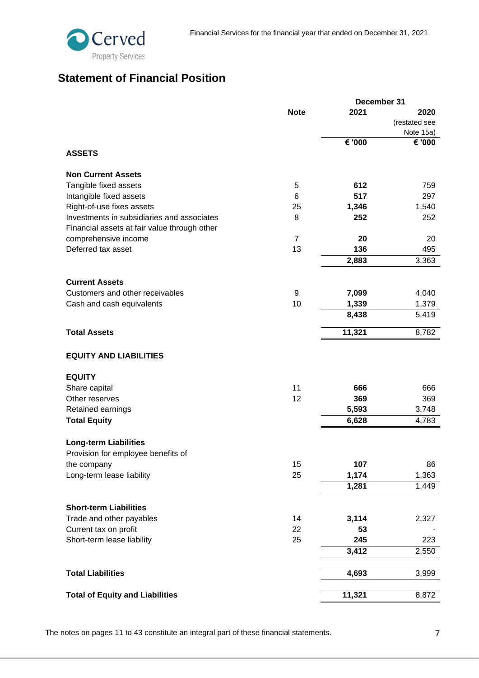# <span id="page-6-0"></span>**Statement of Financial Position**

|                                              |                | December 31 |               |
|----------------------------------------------|----------------|-------------|---------------|
|                                              | <b>Note</b>    | 2021        | 2020          |
|                                              |                |             | (restated see |
|                                              |                |             | Note 15a)     |
|                                              |                | € '000      | € '000        |
| <b>ASSETS</b>                                |                |             |               |
|                                              |                |             |               |
| <b>Non Current Assets</b>                    |                |             |               |
| Tangible fixed assets                        | 5              | 612         | 759           |
| Intangible fixed assets                      | 6              | 517         | 297           |
| Right-of-use fixes assets                    | 25             | 1,346       | 1,540         |
| Investments in subsidiaries and associates   | 8              | 252         | 252           |
| Financial assets at fair value through other |                |             |               |
| comprehensive income                         | $\overline{7}$ | 20          | 20            |
| Deferred tax asset                           | 13             | 136         | 495           |
|                                              |                |             |               |
|                                              |                | 2,883       | 3,363         |
| <b>Current Assets</b>                        |                |             |               |
| Customers and other receivables              | 9              | 7,099       | 4,040         |
|                                              | 10             |             |               |
| Cash and cash equivalents                    |                | 1,339       | 1,379         |
|                                              |                | 8,438       | 5,419         |
| <b>Total Assets</b>                          |                | 11,321      | 8,782         |
| <b>EQUITY AND LIABILITIES</b>                |                |             |               |
| <b>EQUITY</b>                                |                |             |               |
| Share capital                                | 11             | 666         | 666           |
| Other reserves                               | 12             | 369         | 369           |
|                                              |                |             |               |
| Retained earnings                            |                | 5,593       | 3,748         |
| <b>Total Equity</b>                          |                | 6,628       | 4,783         |
|                                              |                |             |               |
|                                              |                |             |               |
| <b>Long-term Liabilities</b>                 |                |             |               |
| Provision for employee benefits of           |                |             |               |
| the company                                  | 15             | 107         | 86            |
| Long-term lease liability                    | 25             | 1,174       | 1,363         |
|                                              |                | 1,281       | 1,449         |
| <b>Short-term Liabilities</b>                |                |             |               |
|                                              |                |             |               |
| Trade and other payables                     | 14             | 3,114       | 2,327         |
| Current tax on profit                        | 22             | 53          |               |
| Short-term lease liability                   | 25             | 245         | 223           |
|                                              |                | 3,412       | 2,550         |
|                                              |                |             |               |
| <b>Total Liabilities</b>                     |                | 4,693       | 3,999         |

The notes on pages 11 to 43 constitute an integral part of these financial statements. The notes on pages 11 to 43 constitute an integral part of these financial statements.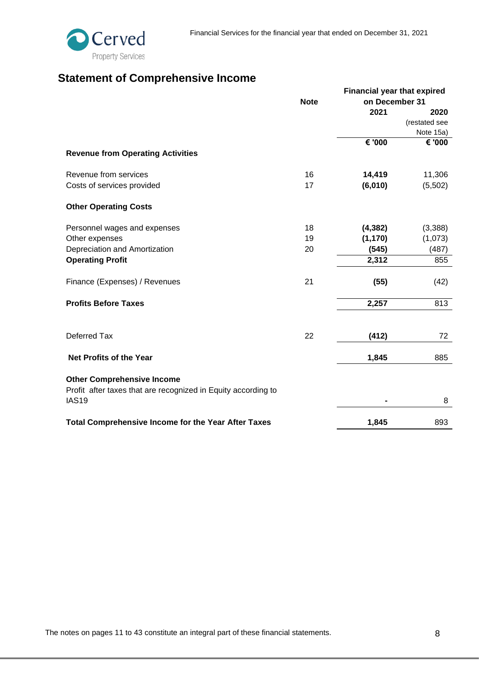

# <span id="page-7-0"></span>**Statement of Comprehensive Income**

|                                                                                                    |             |                | <b>Financial year that expired</b> |  |  |
|----------------------------------------------------------------------------------------------------|-------------|----------------|------------------------------------|--|--|
|                                                                                                    | <b>Note</b> | on December 31 |                                    |  |  |
|                                                                                                    |             | 2021           | 2020                               |  |  |
|                                                                                                    |             |                | (restated see                      |  |  |
|                                                                                                    |             |                | Note 15a)                          |  |  |
|                                                                                                    |             | € '000         | € '000                             |  |  |
| <b>Revenue from Operating Activities</b>                                                           |             |                |                                    |  |  |
| Revenue from services                                                                              | 16          | 14,419         | 11,306                             |  |  |
| Costs of services provided                                                                         | 17          | (6,010)        | (5,502)                            |  |  |
| <b>Other Operating Costs</b>                                                                       |             |                |                                    |  |  |
| Personnel wages and expenses                                                                       | 18          | (4, 382)       | (3,388)                            |  |  |
| Other expenses                                                                                     | 19          | (1, 170)       | (1,073)                            |  |  |
| Depreciation and Amortization                                                                      | 20          | (545)          | (487)                              |  |  |
| <b>Operating Profit</b>                                                                            |             | 2,312          | 855                                |  |  |
| Finance (Expenses) / Revenues                                                                      | 21          | (55)           | (42)                               |  |  |
| <b>Profits Before Taxes</b>                                                                        |             | 2,257          | 813                                |  |  |
|                                                                                                    |             |                |                                    |  |  |
| Deferred Tax                                                                                       | 22          | (412)          | 72                                 |  |  |
| <b>Net Profits of the Year</b>                                                                     |             | 1,845          | 885                                |  |  |
|                                                                                                    |             |                |                                    |  |  |
| <b>Other Comprehensive Income</b><br>Profit after taxes that are recognized in Equity according to |             |                |                                    |  |  |
| <b>IAS19</b>                                                                                       |             |                | 8                                  |  |  |
| <b>Total Comprehensive Income for the Year After Taxes</b>                                         |             | 1,845          | 893                                |  |  |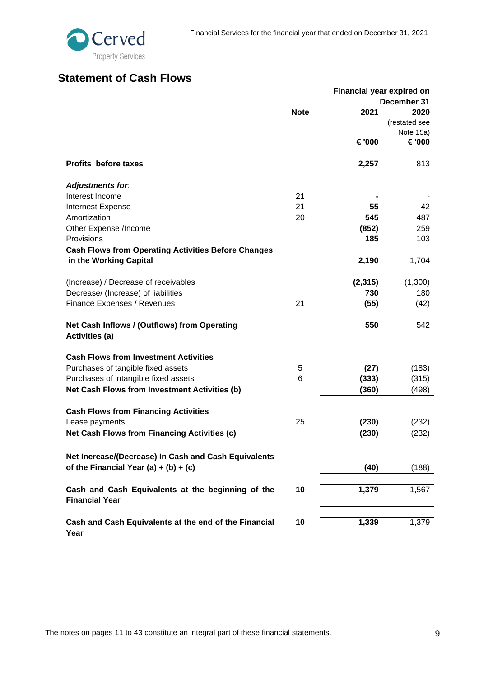# <span id="page-8-0"></span>**Statement of Cash Flows**

|                                                                            |             | <b>Financial year expired on</b> |               |
|----------------------------------------------------------------------------|-------------|----------------------------------|---------------|
|                                                                            |             |                                  | December 31   |
|                                                                            | <b>Note</b> | 2021                             | 2020          |
|                                                                            |             |                                  | (restated see |
|                                                                            |             |                                  | Note 15a)     |
|                                                                            |             | € '000                           | € '000        |
| <b>Profits before taxes</b>                                                |             | 2,257                            | 813           |
| <b>Adjustments for.</b>                                                    |             |                                  |               |
| Interest Income                                                            | 21          |                                  |               |
| <b>Internest Expense</b>                                                   | 21          | 55                               | 42            |
| Amortization                                                               | 20          | 545                              | 487           |
| Other Expense /Income                                                      |             | (852)                            | 259           |
| Provisions                                                                 |             | 185                              | 103           |
| <b>Cash Flows from Operating Activities Before Changes</b>                 |             |                                  |               |
| in the Working Capital                                                     |             | 2,190                            | 1,704         |
| (Increase) / Decrease of receivables                                       |             | (2, 315)                         | (1,300)       |
| Decrease/ (Increase) of liabilities                                        |             | 730                              | 180           |
| Finance Expenses / Revenues                                                | 21          | (55)                             | (42)          |
| Net Cash Inflows / (Outflows) from Operating<br><b>Activities (a)</b>      |             | 550                              | 542           |
| <b>Cash Flows from Investment Activities</b>                               |             |                                  |               |
| Purchases of tangible fixed assets                                         | 5           | (27)                             | (183)         |
| Purchases of intangible fixed assets                                       | 6           | (333)                            | (315)         |
| Net Cash Flows from Investment Activities (b)                              |             | (360)                            | (498)         |
| <b>Cash Flows from Financing Activities</b>                                |             |                                  |               |
| Lease payments                                                             | 25          | (230)                            | (232)         |
| <b>Net Cash Flows from Financing Activities (c)</b>                        |             | (230)                            | (232)         |
| Net Increase/(Decrease) In Cash and Cash Equivalents                       |             |                                  |               |
| of the Financial Year (a) + (b) + (c)                                      |             | (40)                             | (188)         |
|                                                                            |             |                                  |               |
| Cash and Cash Equivalents at the beginning of the<br><b>Financial Year</b> | 10          | 1,379                            | 1,567         |
| Cash and Cash Equivalents at the end of the Financial                      | 10          | 1,339                            | 1,379         |
| Year                                                                       |             |                                  |               |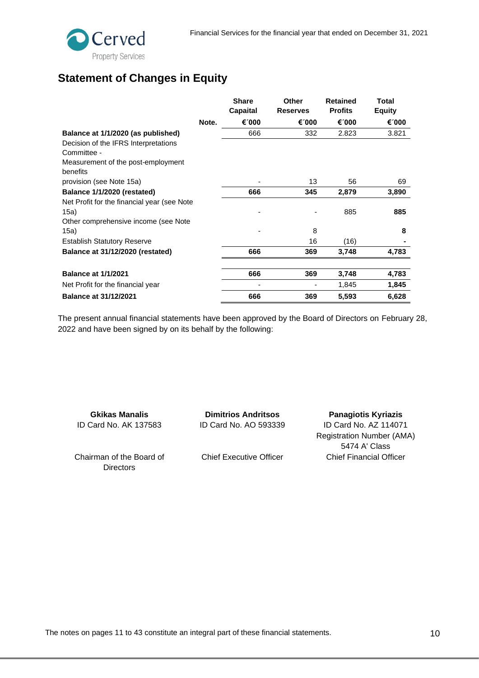# <span id="page-9-0"></span>**Statement of Changes in Equity**

|                                             |       | <b>Share</b><br>Capaital | Other<br><b>Reserves</b> | <b>Retained</b><br><b>Profits</b> | Total<br><b>Equity</b> |
|---------------------------------------------|-------|--------------------------|--------------------------|-----------------------------------|------------------------|
|                                             | Note. | €1000                    | €1000                    | €1000                             | €1000                  |
| Balance at 1/1/2020 (as published)          |       | 666                      | 332                      | 2.823                             | 3.821                  |
| Decision of the IFRS Interpretations        |       |                          |                          |                                   |                        |
| Committee -                                 |       |                          |                          |                                   |                        |
| Measurement of the post-employment          |       |                          |                          |                                   |                        |
| benefits                                    |       |                          |                          |                                   |                        |
| provision (see Note 15a)                    |       |                          | 13                       | 56                                | 69                     |
| Balance 1/1/2020 (restated)                 |       | 666                      | 345                      | 2,879                             | 3,890                  |
| Net Profit for the financial year (see Note |       |                          |                          |                                   |                        |
| 15a)                                        |       |                          |                          | 885                               | 885                    |
| Other comprehensive income (see Note        |       |                          |                          |                                   |                        |
| 15a)                                        |       |                          | 8                        |                                   | 8                      |
| <b>Establish Statutory Reserve</b>          |       |                          | 16                       | (16)                              |                        |
| Balance at 31/12/2020 (restated)            |       | 666                      | 369                      | 3,748                             | 4,783                  |
| <b>Balance at 1/1/2021</b>                  |       | 666                      | 369                      | 3,748                             | 4,783                  |
| Net Profit for the financial year           |       |                          |                          | 1,845                             | 1,845                  |
| <b>Balance at 31/12/2021</b>                |       | 666                      | 369                      | 5,593                             | 6,628                  |

The present annual financial statements have been approved by the Board of Directors on February 28, 2022 and have been signed by on its behalf by the following:

**Gkikas Manalis** ID Card No. AK 137583

**Dimitrios Andritsos** ID Card No. AO 593339

**Panagiotis Kyriazis** ID Card No. AZ 114071 Registration Number (AMA) 5474 A' Class Chief Financial Officer

Chairman of the Board of **Directors** 

Chief Executive Officer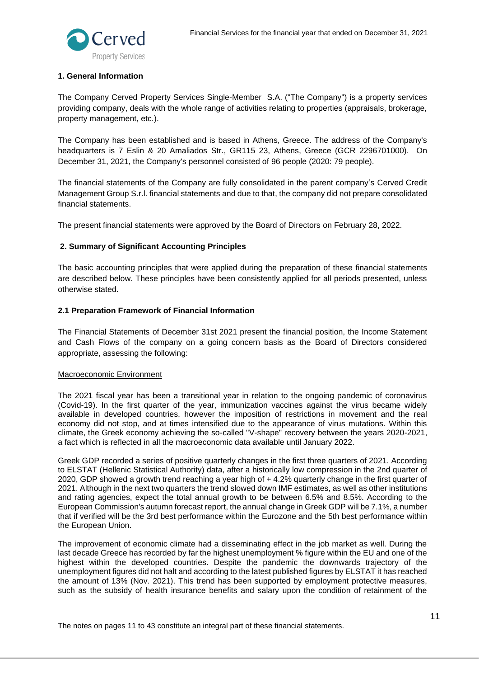

#### <span id="page-10-0"></span>**1. General Information**

The Company Cerved Property Services Single-Member S.A. ("The Company") is a property services providing company, deals with the whole range of activities relating to properties (appraisals, brokerage, property management, etc.).

The Company has been established and is based in Athens, Greece. The address of the Company's headquarters is 7 Eslin & 20 Amaliados Str., GR115 23, Athens, Greece (GCR 2296701000). On December 31, 2021, the Company's personnel consisted of 96 people (2020: 79 people).

The financial statements of the Company are fully consolidated in the parent company's Cerved Credit Management Group S.r.l. financial statements and due to that, the company did not prepare consolidated financial statements.

The present financial statements were approved by the Board of Directors on February 28, 2022.

# <span id="page-10-1"></span>**2. Summary of Significant Accounting Principles**

The basic accounting principles that were applied during the preparation of these financial statements are described below. These principles have been consistently applied for all periods presented, unless otherwise stated.

#### <span id="page-10-2"></span>**2.1 Preparation Framework of Financial Information**

The Financial Statements of December 31st 2021 present the financial position, the Income Statement and Cash Flows of the company on a going concern basis as the Board of Directors considered appropriate, assessing the following:

#### Macroeconomic Environment

The 2021 fiscal year has been a transitional year in relation to the ongoing pandemic of coronavirus (Covid-19). In the first quarter of the year, immunization vaccines against the virus became widely available in developed countries, however the imposition of restrictions in movement and the real economy did not stop, and at times intensified due to the appearance of virus mutations. Within this climate, the Greek economy achieving the so-called "V-shape" recovery between the years 2020-2021, a fact which is reflected in all the macroeconomic data available until January 2022.

Greek GDP recorded a series of positive quarterly changes in the first three quarters of 2021. According to ELSTAT (Hellenic Statistical Authority) data, after a historically low compression in the 2nd quarter of 2020, GDP showed a growth trend reaching a year high of + 4.2% quarterly change in the first quarter of 2021. Although in the next two quarters the trend slowed down IMF estimates, as well as other institutions and rating agencies, expect the total annual growth to be between 6.5% and 8.5%. According to the European Commission's autumn forecast report, the annual change in Greek GDP will be 7.1%, a number that if verified will be the 3rd best performance within the Eurozone and the 5th best performance within the European Union.

The improvement of economic climate had a disseminating effect in the job market as well. During the last decade Greece has recorded by far the highest unemployment % figure within the EU and one of the highest within the developed countries. Despite the pandemic the downwards trajectory of the unemployment figures did not halt and according to the latest published figures by ELSTAT it has reached the amount of 13% (Nov. 2021). This trend has been supported by employment protective measures, such as the subsidy of health insurance benefits and salary upon the condition of retainment of the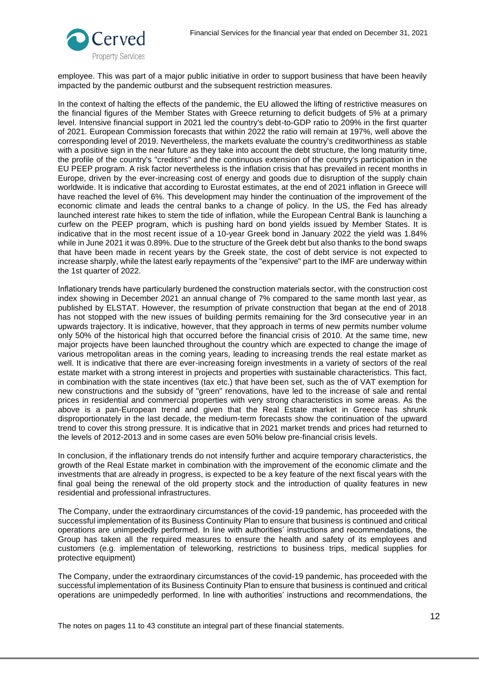

employee. This was part of a major public initiative in order to support business that have been heavily impacted by the pandemic outburst and the subsequent restriction measures.

In the context of halting the effects of the pandemic, the EU allowed the lifting of restrictive measures on the financial figures of the Member States with Greece returning to deficit budgets of 5% at a primary level. Intensive financial support in 2021 led the country's debt-to-GDP ratio to 209% in the first quarter of 2021. European Commission forecasts that within 2022 the ratio will remain at 197%, well above the corresponding level of 2019. Nevertheless, the markets evaluate the country's creditworthiness as stable with a positive sign in the near future as they take into account the debt structure, the long maturity time, the profile of the country's "creditors" and the continuous extension of the country's participation in the EU PEEP program. A risk factor nevertheless is the inflation crisis that has prevailed in recent months in Europe, driven by the ever-increasing cost of energy and goods due to disruption of the supply chain worldwide. It is indicative that according to Eurostat estimates, at the end of 2021 inflation in Greece will have reached the level of 6%. This development may hinder the continuation of the improvement of the economic climate and leads the central banks to a change of policy. In the US, the Fed has already launched interest rate hikes to stem the tide of inflation, while the European Central Bank is launching a curfew on the PEEP program, which is pushing hard on bond yields issued by Member States. It is indicative that in the most recent issue of a 10-year Greek bond in January 2022 the yield was 1.84% while in June 2021 it was 0.89%. Due to the structure of the Greek debt but also thanks to the bond swaps that have been made in recent years by the Greek state, the cost of debt service is not expected to increase sharply, while the latest early repayments of the "expensive" part to the IMF are underway within the 1st quarter of 2022.

Ιnflationary trends have particularly burdened the construction materials sector, with the construction cost index showing in December 2021 an annual change of 7% compared to the same month last year, as published by ELSTAT. However, the resumption of private construction that began at the end of 2018 has not stopped with the new issues of building permits remaining for the 3rd consecutive year in an upwards trajectory. It is indicative, however, that they approach in terms of new permits number volume only 50% of the historical high that occurred before the financial crisis of 2010. At the same time, new major projects have been launched throughout the country which are expected to change the image of various metropolitan areas in the coming years, leading to increasing trends the real estate market as well. It is indicative that there are ever-increasing foreign investments in a variety of sectors of the real estate market with a strong interest in projects and properties with sustainable characteristics. This fact, in combination with the state incentives (tax etc.) that have been set, such as the of VAT exemption for new constructions and the subsidy of "green" renovations, have led to the increase of sale and rental prices in residential and commercial properties with very strong characteristics in some areas. As the above is a pan-European trend and given that the Real Estate market in Greece has shrunk disproportionately in the last decade, the medium-term forecasts show the continuation of the upward trend to cover this strong pressure. It is indicative that in 2021 market trends and prices had returned to the levels of 2012-2013 and in some cases are even 50% below pre-financial crisis levels.

In conclusion, if the inflationary trends do not intensify further and acquire temporary characteristics, the growth of the Real Estate market in combination with the improvement of the economic climate and the investments that are already in progress, is expected to be a key feature of the next fiscal years with the final goal being the renewal of the old property stock and the introduction of quality features in new residential and professional infrastructures.

The Company, under the extraordinary circumstances of the covid-19 pandemic, has proceeded with the successful implementation of its Business Continuity Plan to ensure that business is continued and critical operations are unimpededly performed. In line with authorities' instructions and recommendations, the Group has taken all the required measures to ensure the health and safety of its employees and customers (e.g. implementation of teleworking, restrictions to business trips, medical supplies for protective equipment)

The Company, under the extraordinary circumstances of the covid-19 pandemic, has proceeded with the successful implementation of its Business Continuity Plan to ensure that business is continued and critical operations are unimpededly performed. In line with authorities' instructions and recommendations, the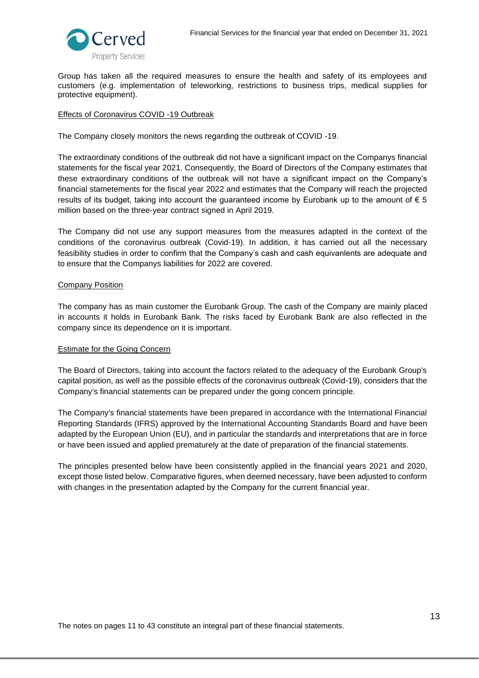



Group has taken all the required measures to ensure the health and safety of its employees and customers (e.g. implementation of teleworking, restrictions to business trips, medical supplies for protective equipment).

#### Effects of Coronavirus COVID -19 Outbreak

The Company closely monitors the news regarding the outbreak of COVID -19.

The extraordinaty conditions of the outbreak did not have a significant impact on the Companys financial statements for the fiscal year 2021. Consequently, the Board of Directors of the Company estimates that these extraordinary conditions of the outbreak will not have a significant impact on the Company's financial stametements for the fiscal year 2022 and estimates that the Company will reach the projected results of its budget, taking into account the guaranteed income by Eurobank up to the amount of  $\epsilon$  5 million based on the three-year contract signed in April 2019.

The Company did not use any support measures from the measures adapted in the context of the conditions of the coronavirus outbreak (Covid-19). In addition, it has carried out all the necessary feasibility studies in order to confirm that the Company's cash and cash equivanlents are adequate and to ensure that the Companys liabilities for 2022 are covered.

#### Company Position

The company has as main customer the Eurobank Group. The cash of the Company are mainly placed in accounts it holds in Eurobank Bank. The risks faced by Eurobank Bank are also reflected in the company since its dependence on it is important.

#### Estimate for the Going Concern

The Board of Directors, taking into account the factors related to the adequacy of the Eurobank Group's capital position, as well as the possible effects of the coronavirus outbreak (Covid-19), considers that the Company's financial statements can be prepared under the going concern principle.

The Company's financial statements have been prepared in accordance with the International Financial Reporting Standards (IFRS) approved by the International Accounting Standards Board and have been adapted by the European Union (EU), and in particular the standards and interpretations that are in force or have been issued and applied prematurely at the date of preparation of the financial statements.

The principles presented below have been consistently applied in the financial years 2021 and 2020, except those listed below. Comparative figures, when deemed necessary, have been adjusted to conform with changes in the presentation adapted by the Company for the current financial year.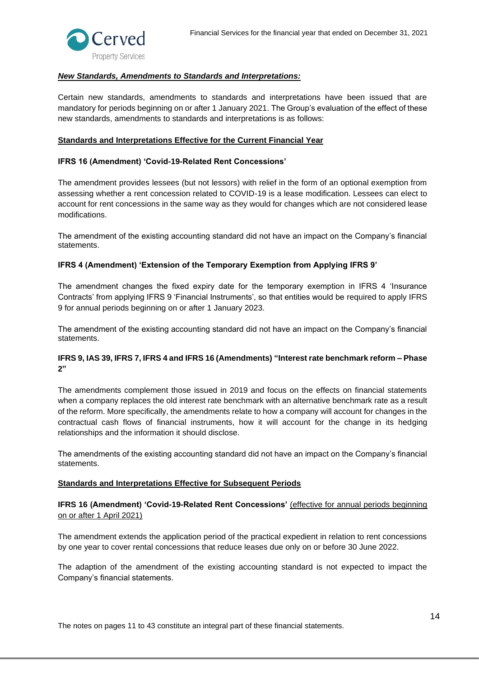

#### *New Standards, Amendments to Standards and Interpretations:*

Certain new standards, amendments to standards and interpretations have been issued that are mandatory for periods beginning on or after 1 January 2021. The Group's evaluation of the effect of these new standards, amendments to standards and interpretations is as follows:

#### **Standards and Interpretations Effective for the Current Financial Year**

#### **IFRS 16 (Amendment) 'Covid-19-Related Rent Concessions'**

The amendment provides lessees (but not lessors) with relief in the form of an optional exemption from assessing whether a rent concession related to COVID-19 is a lease modification. Lessees can elect to account for rent concessions in the same way as they would for changes which are not considered lease modifications.

The amendment of the existing accounting standard did not have an impact on the Company's financial statements.

#### **IFRS 4 (Amendment) 'Extension of the Temporary Exemption from Applying IFRS 9'**

The amendment changes the fixed expiry date for the temporary exemption in IFRS 4 'Insurance Contracts' from applying IFRS 9 'Financial Instruments', so that entities would be required to apply IFRS 9 for annual periods beginning on or after 1 January 2023.

The amendment of the existing accounting standard did not have an impact on the Company's financial statements.

#### **IFRS 9, IAS 39, IFRS 7, IFRS 4 and IFRS 16 (Amendments) "Interest rate benchmark reform – Phase 2"**

The amendments complement those issued in 2019 and focus on the effects on financial statements when a company replaces the old interest rate benchmark with an alternative benchmark rate as a result of the reform. More specifically, the amendments relate to how a company will account for changes in the contractual cash flows of financial instruments, how it will account for the change in its hedging relationships and the information it should disclose.

The amendments of the existing accounting standard did not have an impact on the Company's financial statements.

#### **Standards and Interpretations Effective for Subsequent Periods**

**IFRS 16 (Amendment) 'Covid-19-Related Rent Concessions'** (effective for annual periods beginning on or after 1 April 2021)

The amendment extends the application period of the practical expedient in relation to rent concessions by one year to cover rental concessions that reduce leases due only on or before 30 June 2022.

The adaption of the amendment of the existing accounting standard is not expected to impact the Company's financial statements.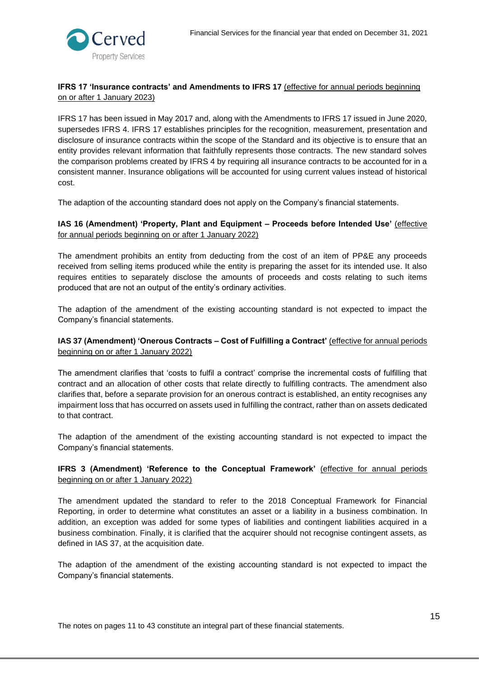

# **IFRS 17 'Insurance contracts' and Amendments to IFRS 17** (effective for annual periods beginning on or after 1 January 2023)

IFRS 17 has been issued in May 2017 and, along with the Amendments to IFRS 17 issued in June 2020, supersedes IFRS 4. IFRS 17 establishes principles for the recognition, measurement, presentation and disclosure of insurance contracts within the scope of the Standard and its objective is to ensure that an entity provides relevant information that faithfully represents those contracts. The new standard solves the comparison problems created by IFRS 4 by requiring all insurance contracts to be accounted for in a consistent manner. Insurance obligations will be accounted for using current values instead of historical cost.

The adaption of the accounting standard does not apply on the Company's financial statements.

# **IAS 16 (Amendment) 'Property, Plant and Equipment – Proceeds before Intended Use'** (effective for annual periods beginning on or after 1 January 2022)

The amendment prohibits an entity from deducting from the cost of an item of PP&E any proceeds received from selling items produced while the entity is preparing the asset for its intended use. It also requires entities to separately disclose the amounts of proceeds and costs relating to such items produced that are not an output of the entity's ordinary activities.

The adaption of the amendment of the existing accounting standard is not expected to impact the Company's financial statements.

# **IAS 37 (Amendment) 'Onerous Contracts – Cost of Fulfilling a Contract'** (effective for annual periods beginning on or after 1 January 2022)

The amendment clarifies that 'costs to fulfil a contract' comprise the incremental costs of fulfilling that contract and an allocation of other costs that relate directly to fulfilling contracts. The amendment also clarifies that, before a separate provision for an onerous contract is established, an entity recognises any impairment loss that has occurred on assets used in fulfilling the contract, rather than on assets dedicated to that contract.

The adaption of the amendment of the existing accounting standard is not expected to impact the Company's financial statements.

# **IFRS 3 (Amendment) 'Reference to the Conceptual Framework'** (effective for annual periods beginning on or after 1 January 2022)

The amendment updated the standard to refer to the 2018 Conceptual Framework for Financial Reporting, in order to determine what constitutes an asset or a liability in a business combination. In addition, an exception was added for some types of liabilities and contingent liabilities acquired in a business combination. Finally, it is clarified that the acquirer should not recognise contingent assets, as defined in IAS 37, at the acquisition date.

The adaption of the amendment of the existing accounting standard is not expected to impact the Company's financial statements.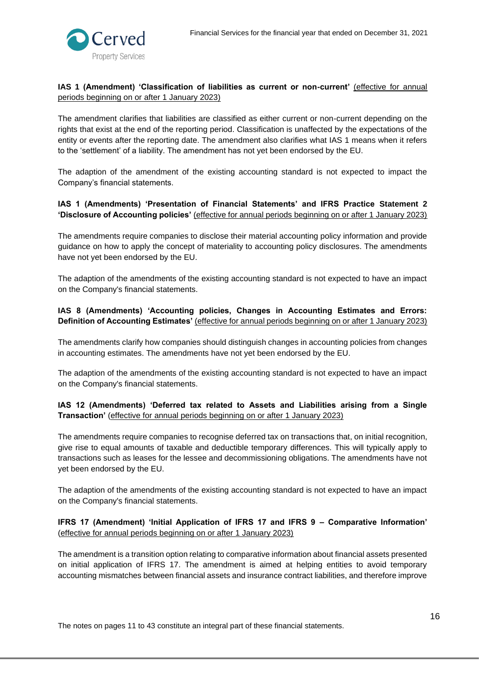

# IAS 1 (Amendment) 'Classification of liabilities as current or non-current' (effective for annual periods beginning on or after 1 January 2023)

The amendment clarifies that liabilities are classified as either current or non-current depending on the rights that exist at the end of the reporting period. Classification is unaffected by the expectations of the entity or events after the reporting date. The amendment also clarifies what IAS 1 means when it refers to the 'settlement' of a liability. The amendment has not yet been endorsed by the EU.

The adaption of the amendment of the existing accounting standard is not expected to impact the Company's financial statements.

# **IAS 1 (Amendments) 'Presentation of Financial Statements' and IFRS Practice Statement 2 'Disclosure of Accounting policies'** (effective for annual periods beginning on or after 1 January 2023)

The amendments require companies to disclose their material accounting policy information and provide guidance on how to apply the concept of materiality to accounting policy disclosures. The amendments have not yet been endorsed by the EU.

The adaption of the amendments of the existing accounting standard is not expected to have an impact on the Company's financial statements.

# **IAS 8 (Amendments) 'Accounting policies, Changes in Accounting Estimates and Errors: Definition of Accounting Estimates'** (effective for annual periods beginning on or after 1 January 2023)

The amendments clarify how companies should distinguish changes in accounting policies from changes in accounting estimates. The amendments have not yet been endorsed by the EU.

The adaption of the amendments of the existing accounting standard is not expected to have an impact on the Company's financial statements.

# **IΑS 12 (Amendments) 'Deferred tax related to Assets and Liabilities arising from a Single Transaction'** (effective for annual periods beginning on or after 1 January 2023)

The amendments require companies to recognise deferred tax on transactions that, on initial recognition, give rise to equal amounts of taxable and deductible temporary differences. This will typically apply to transactions such as leases for the lessee and decommissioning obligations. The amendments have not yet been endorsed by the EU.

The adaption of the amendments of the existing accounting standard is not expected to have an impact on the Company's financial statements.

# **IFRS 17 (Amendment) 'Initial Application of IFRS 17 and IFRS 9 – Comparative Information'**  (effective for annual periods beginning on or after 1 January 2023)

The amendment is a transition option relating to comparative information about financial assets presented on initial application of IFRS 17. The amendment is aimed at helping entities to avoid temporary accounting mismatches between financial assets and insurance contract liabilities, and therefore improve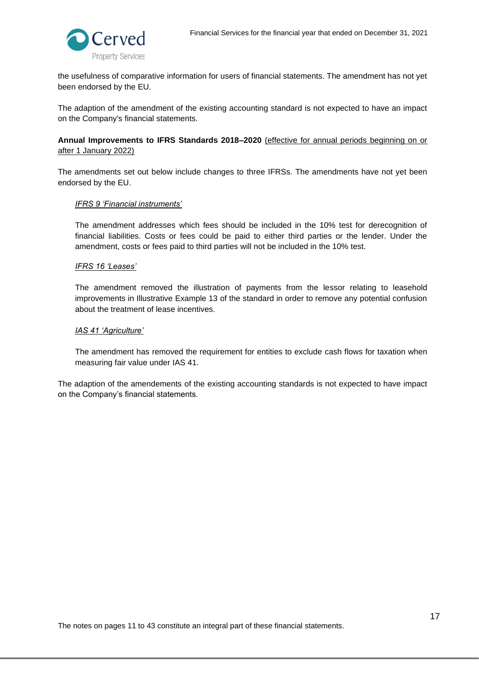

the usefulness of comparative information for users of financial statements. The amendment has not yet been endorsed by the EU.

The adaption of the amendment of the existing accounting standard is not expected to have an impact on the Company's financial statements.

**Annual Improvements to IFRS Standards 2018–2020** (effective for annual periods beginning on or after 1 January 2022)

The amendments set out below include changes to three IFRSs. The amendments have not yet been endorsed by the EU.

#### *IFRS 9 'Financial instruments'*

The amendment addresses which fees should be included in the 10% test for derecognition of financial liabilities. Costs or fees could be paid to either third parties or the lender. Under the amendment, costs or fees paid to third parties will not be included in the 10% test.

#### *IFRS 16 'Leases'*

The amendment removed the illustration of payments from the lessor relating to leasehold improvements in Illustrative Example 13 of the standard in order to remove any potential confusion about the treatment of lease incentives.

#### *IAS 41 'Agriculture'*

The amendment has removed the requirement for entities to exclude cash flows for taxation when measuring fair value under IAS 41.

The adaption of the amendements of the existing accounting standards is not expected to have impact on the Company's financial statements.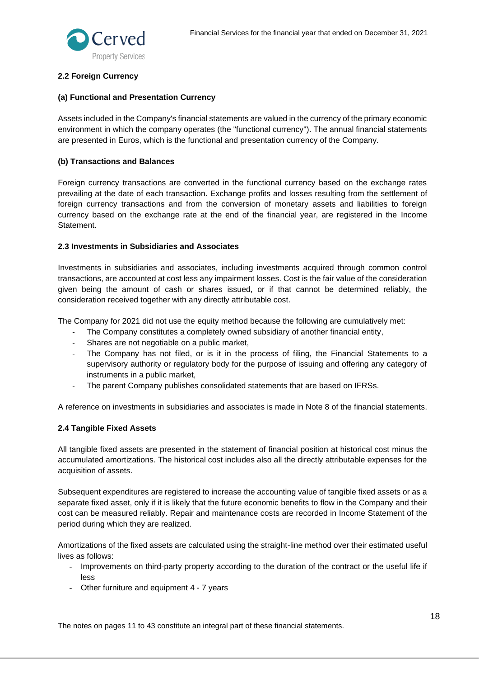

# <span id="page-17-0"></span>**2.2 Foreign Currency**

# **(a) Functional and Presentation Currency**

Assets included in the Company's financial statements are valued in the currency of the primary economic environment in which the company operates (the "functional currency"). The annual financial statements are presented in Euros, which is the functional and presentation currency of the Company.

# **(b) Transactions and Balances**

Foreign currency transactions are converted in the functional currency based on the exchange rates prevailing at the date of each transaction. Exchange profits and losses resulting from the settlement of foreign currency transactions and from the conversion of monetary assets and liabilities to foreign currency based on the exchange rate at the end of the financial year, are registered in the Income Statement.

# <span id="page-17-1"></span>**2.3 Investments in Subsidiaries and Associates**

Investments in subsidiaries and associates, including investments acquired through common control transactions, are accounted at cost less any impairment losses. Cost is the fair value of the consideration given being the amount of cash or shares issued, or if that cannot be determined reliably, the consideration received together with any directly attributable cost.

The Company for 2021 did not use the equity method because the following are cumulatively met:

- The Company constitutes a completely owned subsidiary of another financial entity,
- Shares are not negotiable on a public market,
- The Company has not filed, or is it in the process of filing, the Financial Statements to a supervisory authority or regulatory body for the purpose of issuing and offering any category of instruments in a public market,
- The parent Company publishes consolidated statements that are based on IFRSs.

A reference on investments in subsidiaries and associates is made in Note 8 of the financial statements.

# <span id="page-17-2"></span>**2.4 Tangible Fixed Assets**

All tangible fixed assets are presented in the statement of financial position at historical cost minus the accumulated amortizations. The historical cost includes also all the directly attributable expenses for the acquisition of assets.

Subsequent expenditures are registered to increase the accounting value of tangible fixed assets or as a separate fixed asset, only if it is likely that the future economic benefits to flow in the Company and their cost can be measured reliably. Repair and maintenance costs are recorded in Income Statement of the period during which they are realized.

Amortizations of the fixed assets are calculated using the straight-line method over their estimated useful lives as follows:

- Improvements on third-party property according to the duration of the contract or the useful life if less
- Other furniture and equipment 4 7 years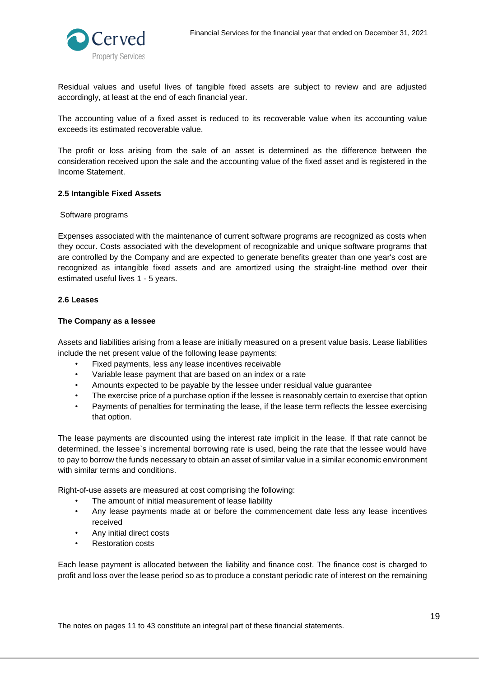

Residual values and useful lives of tangible fixed assets are subject to review and are adjusted accordingly, at least at the end of each financial year.

The accounting value of a fixed asset is reduced to its recoverable value when its accounting value exceeds its estimated recoverable value.

The profit or loss arising from the sale of an asset is determined as the difference between the consideration received upon the sale and the accounting value of the fixed asset and is registered in the Income Statement.

#### <span id="page-18-0"></span>**2.5 Intangible Fixed Assets**

#### Software programs

Expenses associated with the maintenance of current software programs are recognized as costs when they occur. Costs associated with the development of recognizable and unique software programs that are controlled by the Company and are expected to generate benefits greater than one year's cost are recognized as intangible fixed assets and are amortized using the straight-line method over their estimated useful lives 1 - 5 years.

#### <span id="page-18-1"></span>**2.6 Leases**

#### **The Company as a lessee**

Assets and liabilities arising from a lease are initially measured on a present value basis. Lease liabilities include the net present value of the following lease payments:

- Fixed payments, less any lease incentives receivable
- Variable lease payment that are based on an index or a rate
- Amounts expected to be payable by the lessee under residual value guarantee
- The exercise price of a purchase option if the lessee is reasonably certain to exercise that option
- Payments of penalties for terminating the lease, if the lease term reflects the lessee exercising that option.

The lease payments are discounted using the interest rate implicit in the lease. If that rate cannot be determined, the lessee`s incremental borrowing rate is used, being the rate that the lessee would have to pay to borrow the funds necessary to obtain an asset of similar value in a similar economic environment with similar terms and conditions.

Right-of-use assets are measured at cost comprising the following:

- The amount of initial measurement of lease liability
- Any lease payments made at or before the commencement date less any lease incentives received
- Any initial direct costs
- Restoration costs

Each lease payment is allocated between the liability and finance cost. The finance cost is charged to profit and loss over the lease period so as to produce a constant periodic rate of interest on the remaining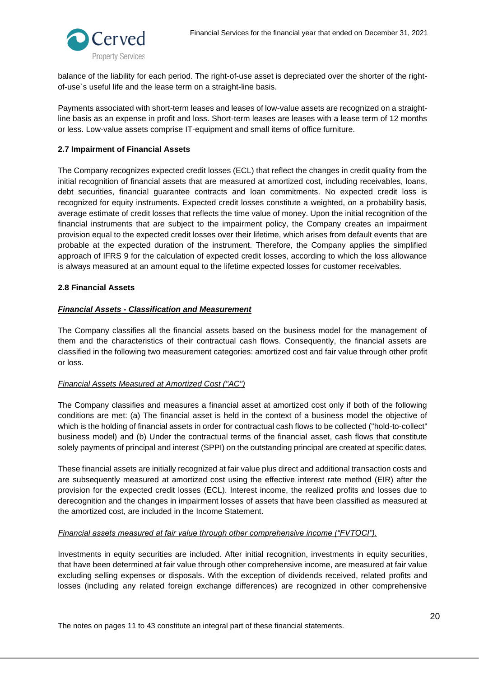

balance of the liability for each period. The right-of-use asset is depreciated over the shorter of the rightof-use`s useful life and the lease term on a straight-line basis.

Payments associated with short-term leases and leases of low-value assets are recognized on a straightline basis as an expense in profit and loss. Short-term leases are leases with a lease term of 12 months or less. Low-value assets comprise IT-equipment and small items of office furniture.

# <span id="page-19-0"></span>**2.7 Impairment of Financial Assets**

The Company recognizes expected credit losses (ECL) that reflect the changes in credit quality from the initial recognition of financial assets that are measured at amortized cost, including receivables, loans, debt securities, financial guarantee contracts and loan commitments. No expected credit loss is recognized for equity instruments. Expected credit losses constitute a weighted, on a probability basis, average estimate of credit losses that reflects the time value of money. Upon the initial recognition of the financial instruments that are subject to the impairment policy, the Company creates an impairment provision equal to the expected credit losses over their lifetime, which arises from default events that are probable at the expected duration of the instrument. Therefore, the Company applies the simplified approach of IFRS 9 for the calculation of expected credit losses, according to which the loss allowance is always measured at an amount equal to the lifetime expected losses for customer receivables.

# <span id="page-19-1"></span>**2.8 Financial Assets**

# *Financial Assets - Classification and Measurement*

The Company classifies all the financial assets based on the business model for the management of them and the characteristics of their contractual cash flows. Consequently, the financial assets are classified in the following two measurement categories: amortized cost and fair value through other profit or loss.

# *Financial Assets Measured at Amortized Cost ("AC")*

The Company classifies and measures a financial asset at amortized cost only if both of the following conditions are met: (a) The financial asset is held in the context of a business model the objective of which is the holding of financial assets in order for contractual cash flows to be collected ("hold-to-collect" business model) and (b) Under the contractual terms of the financial asset, cash flows that constitute solely payments of principal and interest (SPPI) on the outstanding principal are created at specific dates.

These financial assets are initially recognized at fair value plus direct and additional transaction costs and are subsequently measured at amortized cost using the effective interest rate method (EIR) after the provision for the expected credit losses (ECL). Interest income, the realized profits and losses due to derecognition and the changes in impairment losses of assets that have been classified as measured at the amortized cost, are included in the Income Statement.

# *Financial assets measured at fair value through other comprehensive income ("FVTOCI").*

Investments in equity securities are included. After initial recognition, investments in equity securities, that have been determined at fair value through other comprehensive income, are measured at fair value excluding selling expenses or disposals. With the exception of dividends received, related profits and losses (including any related foreign exchange differences) are recognized in other comprehensive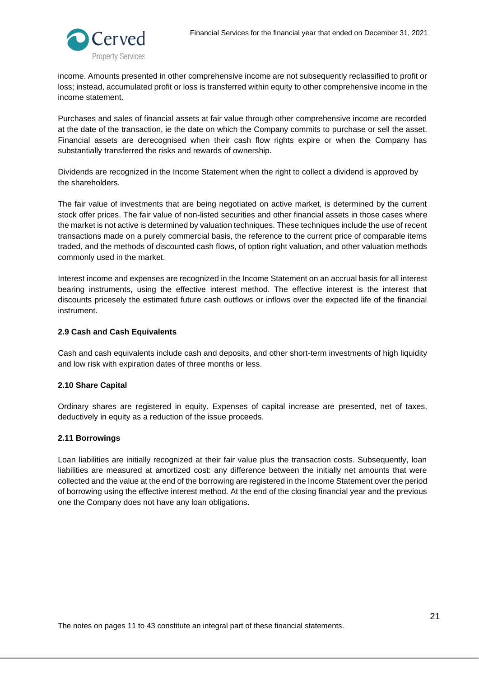

income. Amounts presented in other comprehensive income are not subsequently reclassified to profit or loss; instead, accumulated profit or loss is transferred within equity to other comprehensive income in the income statement.

Purchases and sales of financial assets at fair value through other comprehensive income are recorded at the date of the transaction, ie the date on which the Company commits to purchase or sell the asset. Financial assets are derecognised when their cash flow rights expire or when the Company has substantially transferred the risks and rewards of ownership.

Dividends are recognized in the Income Statement when the right to collect a dividend is approved by the shareholders.

The fair value of investments that are being negotiated on active market, is determined by the current stock offer prices. The fair value of non-listed securities and other financial assets in those cases where the market is not active is determined by valuation techniques. These techniques include the use of recent transactions made on a purely commercial basis, the reference to the current price of comparable items traded, and the methods of discounted cash flows, of option right valuation, and other valuation methods commonly used in the market.

Interest income and expenses are recognized in the Income Statement on an accrual basis for all interest bearing instruments, using the effective interest method. The effective interest is the interest that discounts pricesely the estimated future cash outflows or inflows over the expected life of the financial instrument.

#### <span id="page-20-0"></span>**2.9 Cash and Cash Equivalents**

Cash and cash equivalents include cash and deposits, and other short-term investments of high liquidity and low risk with expiration dates of three months or less.

#### <span id="page-20-1"></span>**2.10 Share Capital**

Ordinary shares are registered in equity. Expenses of capital increase are presented, net of taxes, deductively in equity as a reduction of the issue proceeds.

# <span id="page-20-2"></span>**2.11 Borrowings**

Loan liabilities are initially recognized at their fair value plus the transaction costs. Subsequently, loan liabilities are measured at amortized cost: any difference between the initially net amounts that were collected and the value at the end of the borrowing are registered in the Income Statement over the period of borrowing using the effective interest method. At the end of the closing financial year and the previous one the Company does not have any loan obligations.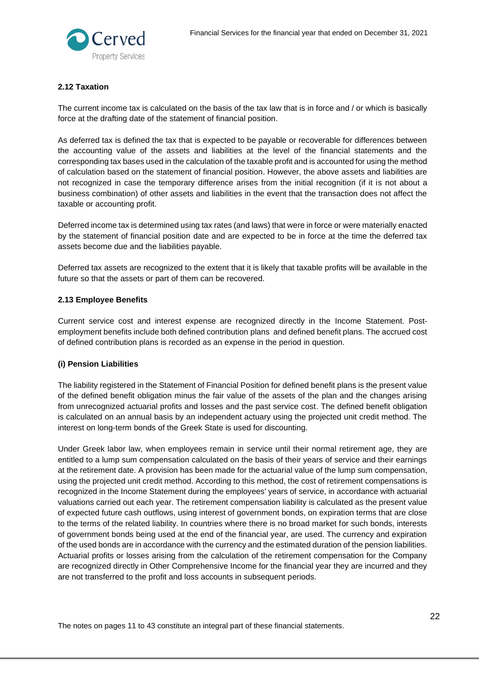

# <span id="page-21-0"></span>**2.12 Taxation**

The current income tax is calculated on the basis of the tax law that is in force and / or which is basically force at the drafting date of the statement of financial position.

As deferred tax is defined the tax that is expected to be payable or recoverable for differences between the accounting value of the assets and liabilities at the level of the financial statements and the corresponding tax bases used in the calculation of the taxable profit and is accounted for using the method of calculation based on the statement of financial position. However, the above assets and liabilities are not recognized in case the temporary difference arises from the initial recognition (if it is not about a business combination) of other assets and liabilities in the event that the transaction does not affect the taxable or accounting profit.

Deferred income tax is determined using tax rates (and laws) that were in force or were materially enacted by the statement of financial position date and are expected to be in force at the time the deferred tax assets become due and the liabilities payable.

Deferred tax assets are recognized to the extent that it is likely that taxable profits will be available in the future so that the assets or part of them can be recovered.

#### <span id="page-21-1"></span>**2.13 Employee Benefits**

Current service cost and interest expense are recognized directly in the Income Statement. Postemployment benefits include both defined contribution plans and defined benefit plans. The accrued cost of defined contribution plans is recorded as an expense in the period in question.

# **(i) Pension Liabilities**

The liability registered in the Statement of Financial Position for defined benefit plans is the present value of the defined benefit obligation minus the fair value of the assets of the plan and the changes arising from unrecognized actuarial profits and losses and the past service cost. The defined benefit obligation is calculated on an annual basis by an independent actuary using the projected unit credit method. The interest on long-term bonds of the Greek State is used for discounting.

Under Greek labor law, when employees remain in service until their normal retirement age, they are entitled to a lump sum compensation calculated on the basis of their years of service and their earnings at the retirement date. A provision has been made for the actuarial value of the lump sum compensation, using the projected unit credit method. According to this method, the cost of retirement compensations is recognized in the Income Statement during the employees' years of service, in accordance with actuarial valuations carried out each year. The retirement compensation liability is calculated as the present value of expected future cash outflows, using interest of government bonds, on expiration terms that are close to the terms of the related liability. In countries where there is no broad market for such bonds, interests of government bonds being used at the end of the financial year, are used. The currency and expiration of the used bonds are in accordance with the currency and the estimated duration of the pension liabilities. Actuarial profits or losses arising from the calculation of the retirement compensation for the Company are recognized directly in Other Comprehensive Income for the financial year they are incurred and they are not transferred to the profit and loss accounts in subsequent periods.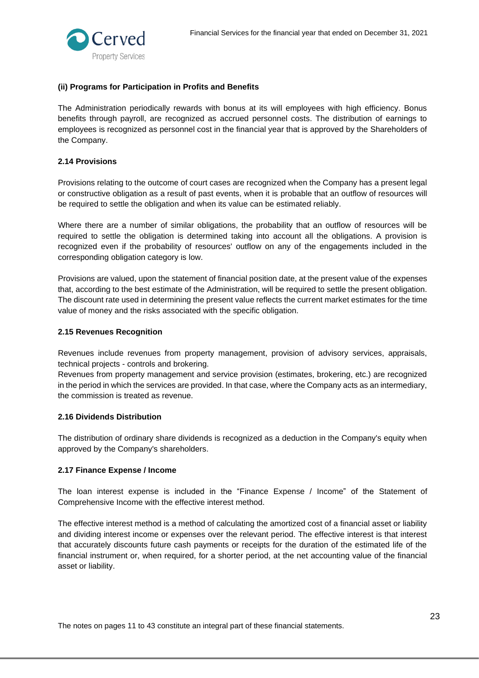

# **(ii) Programs for Participation in Profits and Benefits**

The Administration periodically rewards with bonus at its will employees with high efficiency. Bonus benefits through payroll, are recognized as accrued personnel costs. The distribution of earnings to employees is recognized as personnel cost in the financial year that is approved by the Shareholders of the Company.

#### <span id="page-22-0"></span>**2.14 Provisions**

Provisions relating to the outcome of court cases are recognized when the Company has a present legal or constructive obligation as a result of past events, when it is probable that an outflow of resources will be required to settle the obligation and when its value can be estimated reliably.

Where there are a number of similar obligations, the probability that an outflow of resources will be required to settle the obligation is determined taking into account all the obligations. A provision is recognized even if the probability of resources' outflow on any of the engagements included in the corresponding obligation category is low.

Provisions are valued, upon the statement of financial position date, at the present value of the expenses that, according to the best estimate of the Administration, will be required to settle the present obligation. The discount rate used in determining the present value reflects the current market estimates for the time value of money and the risks associated with the specific obligation.

#### <span id="page-22-1"></span>**2.15 Revenues Recognition**

Revenues include revenues from property management, provision of advisory services, appraisals, technical projects - controls and brokering.

Revenues from property management and service provision (estimates, brokering, etc.) are recognized in the period in which the services are provided. In that case, where the Company acts as an intermediary, the commission is treated as revenue.

#### <span id="page-22-2"></span>**2.16 Dividends Distribution**

The distribution of ordinary share dividends is recognized as a deduction in the Company's equity when approved by the Company's shareholders.

#### <span id="page-22-3"></span>**2.17 Finance Expense / Income**

The loan interest expense is included in the "Finance Expense / Income" of the Statement of Comprehensive Income with the effective interest method.

The effective interest method is a method of calculating the amortized cost of a financial asset or liability and dividing interest income or expenses over the relevant period. The effective interest is that interest that accurately discounts future cash payments or receipts for the duration of the estimated life of the financial instrument or, when required, for a shorter period, at the net accounting value of the financial asset or liability.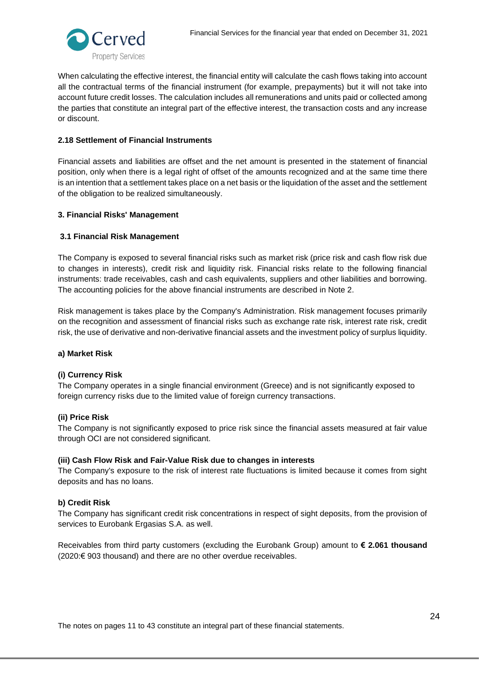

When calculating the effective interest, the financial entity will calculate the cash flows taking into account all the contractual terms of the financial instrument (for example, prepayments) but it will not take into account future credit losses. The calculation includes all remunerations and units paid or collected among the parties that constitute an integral part of the effective interest, the transaction costs and any increase or discount.

# <span id="page-23-0"></span>**2.18 Settlement of Financial Instruments**

Financial assets and liabilities are offset and the net amount is presented in the statement of financial position, only when there is a legal right of offset of the amounts recognized and at the same time there is an intention that a settlement takes place on a net basis or the liquidation of the asset and the settlement of the obligation to be realized simultaneously.

# <span id="page-23-1"></span>**3. Financial Risks' Management**

# <span id="page-23-2"></span>**3.1 Financial Risk Management**

The Company is exposed to several financial risks such as market risk (price risk and cash flow risk due to changes in interests), credit risk and liquidity risk. Financial risks relate to the following financial instruments: trade receivables, cash and cash equivalents, suppliers and other liabilities and borrowing. The accounting policies for the above financial instruments are described in Note 2.

Risk management is takes place by the Company's Administration. Risk management focuses primarily on the recognition and assessment of financial risks such as exchange rate risk, interest rate risk, credit risk, the use of derivative and non-derivative financial assets and the investment policy of surplus liquidity.

# **a) Market Risk**

# **(i) Currency Risk**

The Company operates in a single financial environment (Greece) and is not significantly exposed to foreign currency risks due to the limited value of foreign currency transactions.

# **(ii) Price Risk**

The Company is not significantly exposed to price risk since the financial assets measured at fair value through OCI are not considered significant.

# **(iii) Cash Flow Risk and Fair-Value Risk due to changes in interests**

The Company's exposure to the risk of interest rate fluctuations is limited because it comes from sight deposits and has no loans.

# **b) Credit Risk**

The Company has significant credit risk concentrations in respect of sight deposits, from the provision of services to Eurobank Ergasias S.A. as well.

Receivables from third party customers (excluding the Eurobank Group) amount to **€ 2.061 thousand** (2020:€ 903 thousand) and there are no other overdue receivables.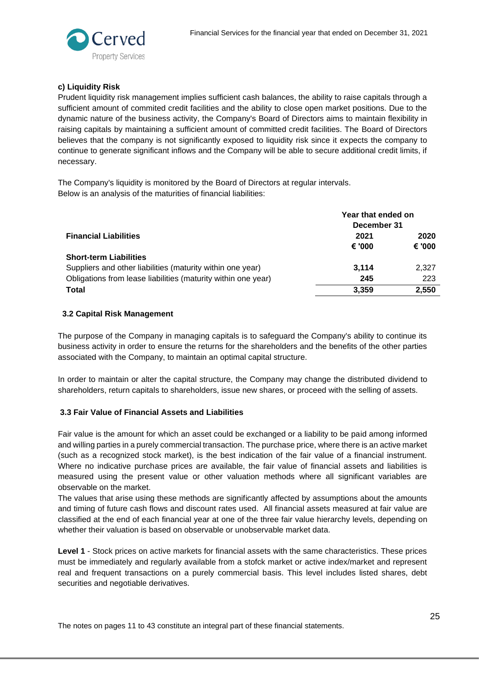

# **c) Liquidity Risk**

Prudent liquidity risk management implies sufficient cash balances, the ability to raise capitals through a sufficient amount of commited credit facilities and the ability to close open market positions. Due to the dynamic nature of the business activity, the Company's Board of Directors aims to maintain flexibility in raising capitals by maintaining a sufficient amount of committed credit facilities. The Board of Directors believes that the company is not significantly exposed to liquidity risk since it expects the company to continue to generate significant inflows and the Company will be able to secure additional credit limits, if necessary.

The Company's liquidity is monitored by the Board of Directors at regular intervals. Below is an analysis of the maturities of financial liabilities:

|                                                               | Year that ended on |        |  |
|---------------------------------------------------------------|--------------------|--------|--|
|                                                               | December 31        |        |  |
| <b>Financial Liabilities</b>                                  | 2021               | 2020   |  |
|                                                               | € '000             | € '000 |  |
| <b>Short-term Liabilities</b>                                 |                    |        |  |
| Suppliers and other liabilities (maturity within one year)    | 3.114              | 2,327  |  |
| Obligations from lease liabilities (maturity within one year) | 245                | 223    |  |
| <b>Total</b>                                                  | 3.359              | 2,550  |  |

# <span id="page-24-0"></span>**3.2 Capital Risk Management**

The purpose of the Company in managing capitals is to safeguard the Company's ability to continue its business activity in order to ensure the returns for the shareholders and the benefits of the other parties associated with the Company, to maintain an optimal capital structure.

In order to maintain or alter the capital structure, the Company may change the distributed dividend to shareholders, return capitals to shareholders, issue new shares, or proceed with the selling of assets.

# <span id="page-24-1"></span>**3.3 Fair Value of Financial Assets and Liabilities**

Fair value is the amount for which an asset could be exchanged or a liability to be paid among informed and willing parties in a purely commercial transaction. The purchase price, where there is an active market (such as a recognized stock market), is the best indication of the fair value of a financial instrument. Where no indicative purchase prices are available, the fair value of financial assets and liabilities is measured using the present value or other valuation methods where all significant variables are observable on the market.

The values that arise using these methods are significantly affected by assumptions about the amounts and timing of future cash flows and discount rates used. All financial assets measured at fair value are classified at the end of each financial year at one of the three fair value hierarchy levels, depending on whether their valuation is based on observable or unobservable market data.

**Level 1** - Stock prices on active markets for financial assets with the same characteristics. These prices must be immediately and regularly available from a stofck market or active index/market and represent real and frequent transactions on a purely commercial basis. This level includes listed shares, debt securities and negotiable derivatives.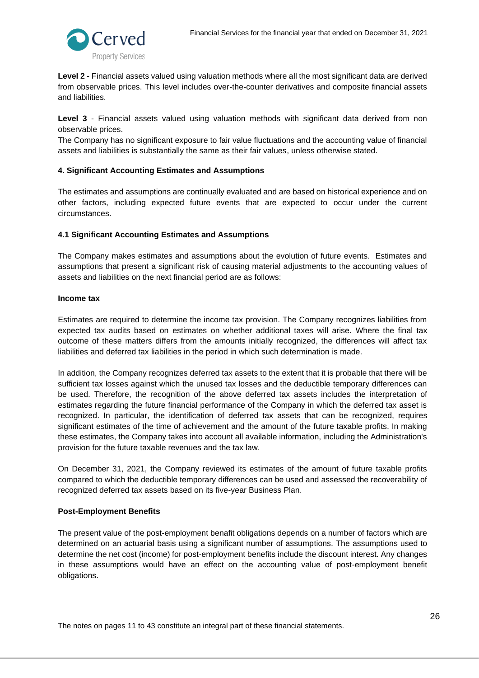

**Level 2** - Financial assets valued using valuation methods where all the most significant data are derived from observable prices. This level includes over-the-counter derivatives and composite financial assets and liabilities.

**Level 3** - Financial assets valued using valuation methods with significant data derived from non observable prices.

The Company has no significant exposure to fair value fluctuations and the accounting value of financial assets and liabilities is substantially the same as their fair values, unless otherwise stated.

#### <span id="page-25-0"></span>**4. Significant Accounting Estimates and Assumptions**

The estimates and assumptions are continually evaluated and are based on historical experience and on other factors, including expected future events that are expected to occur under the current circumstances.

#### <span id="page-25-1"></span>**4.1 Significant Accounting Estimates and Assumptions**

The Company makes estimates and assumptions about the evolution of future events. Estimates and assumptions that present a significant risk of causing material adjustments to the accounting values of assets and liabilities on the next financial period are as follows:

#### **Income tax**

Estimates are required to determine the income tax provision. The Company recognizes liabilities from expected tax audits based on estimates on whether additional taxes will arise. Where the final tax outcome of these matters differs from the amounts initially recognized, the differences will affect tax liabilities and deferred tax liabilities in the period in which such determination is made.

In addition, the Company recognizes deferred tax assets to the extent that it is probable that there will be sufficient tax losses against which the unused tax losses and the deductible temporary differences can be used. Therefore, the recognition of the above deferred tax assets includes the interpretation of estimates regarding the future financial performance of the Company in which the deferred tax asset is recognized. In particular, the identification of deferred tax assets that can be recognized, requires significant estimates of the time of achievement and the amount of the future taxable profits. In making these estimates, the Company takes into account all available information, including the Administration's provision for the future taxable revenues and the tax law.

On December 31, 2021, the Company reviewed its estimates of the amount of future taxable profits compared to which the deductible temporary differences can be used and assessed the recoverability of recognized deferred tax assets based on its five-year Business Plan.

#### **Post-Employment Benefits**

The present value of the post-employment benafit obligations depends on a number of factors which are determined on an actuarial basis using a significant number of assumptions. The assumptions used to determine the net cost (income) for post-employment benefits include the discount interest. Any changes in these assumptions would have an effect on the accounting value of post-employment benefit obligations.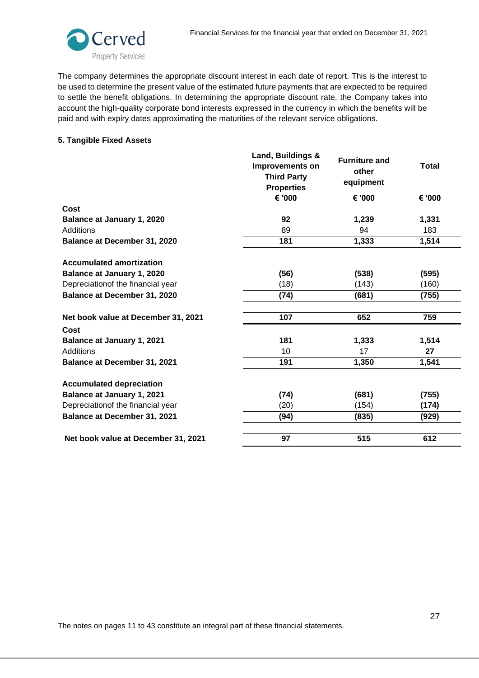

The company determines the appropriate discount interest in each date of report. This is the interest to be used to determine the present value of the estimated future payments that are expected to be required to settle the benefit obligations. In determining the appropriate discount rate, the Company takes into account the high-quality corporate bond interests expressed in the currency in which the benefits will be paid and with expiry dates approximating the maturities of the relevant service obligations.

#### <span id="page-26-0"></span>**5. Tangible Fixed Assets**

|                                     | Land, Buildings &<br><b>Improvements on</b><br><b>Third Party</b><br><b>Properties</b> | <b>Furniture and</b><br>other<br>equipment | <b>Total</b> |
|-------------------------------------|----------------------------------------------------------------------------------------|--------------------------------------------|--------------|
|                                     | € '000                                                                                 | € '000                                     | € '000       |
| Cost                                |                                                                                        |                                            |              |
| <b>Balance at January 1, 2020</b>   | 92                                                                                     | 1,239                                      | 1,331        |
| Additions                           | 89                                                                                     | 94                                         | 183          |
| Balance at December 31, 2020        | 181                                                                                    | 1,333                                      | 1,514        |
| <b>Accumulated amortization</b>     |                                                                                        |                                            |              |
| Balance at January 1, 2020          | (56)                                                                                   | (538)                                      | (595)        |
| Depreciationof the financial year   | (18)                                                                                   | (143)                                      | (160)        |
| Balance at December 31, 2020        | (74)                                                                                   | (681)                                      | (755)        |
| Net book value at December 31, 2021 | 107                                                                                    | 652                                        | 759          |
| Cost                                |                                                                                        |                                            |              |
| <b>Balance at January 1, 2021</b>   | 181                                                                                    | 1,333                                      | 1,514        |
| Additions                           | 10                                                                                     | 17                                         | 27           |
| Balance at December 31, 2021        | 191                                                                                    | 1,350                                      | 1,541        |
| <b>Accumulated depreciation</b>     |                                                                                        |                                            |              |
| <b>Balance at January 1, 2021</b>   | (74)                                                                                   | (681)                                      | (755)        |
| Depreciationof the financial year   | (20)                                                                                   | (154)                                      | (174)        |
| <b>Balance at December 31, 2021</b> | (94)                                                                                   | (835)                                      | (929)        |
| Net book value at December 31, 2021 | 97                                                                                     | 515                                        | 612          |
|                                     |                                                                                        |                                            |              |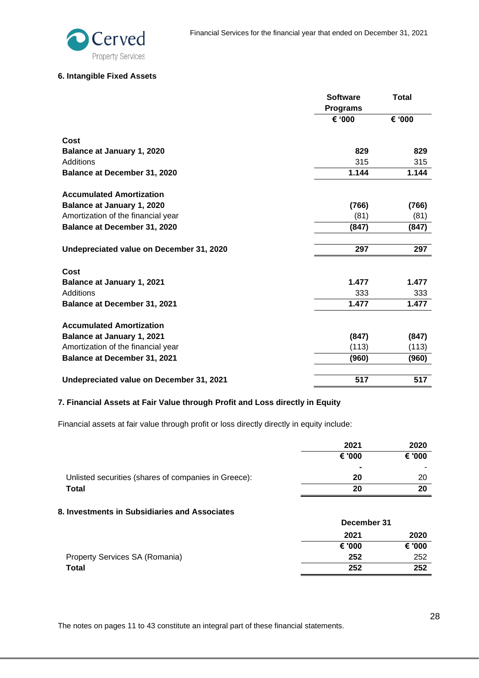

# <span id="page-27-0"></span>**6. Intangible Fixed Assets**

|                                          | <b>Software</b><br><b>Programs</b> | <b>Total</b> |
|------------------------------------------|------------------------------------|--------------|
|                                          | € '000                             | € '000       |
| Cost                                     |                                    |              |
| Balance at January 1, 2020               | 829                                | 829          |
| Additions                                | 315                                | 315          |
| Balance at December 31, 2020             | 1.144                              | 1.144        |
| <b>Accumulated Amortization</b>          |                                    |              |
| Balance at January 1, 2020               | (766)                              | (766)        |
| Amortization of the financial year       | (81)                               | (81)         |
| Balance at December 31, 2020             | (847)                              | (847)        |
| Undepreciated value on December 31, 2020 | 297                                | 297          |
| Cost                                     |                                    |              |
| <b>Balance at January 1, 2021</b>        | 1.477                              | 1.477        |
| Additions                                | 333                                | 333          |
| <b>Balance at December 31, 2021</b>      | 1.477                              | 1.477        |
| <b>Accumulated Amortization</b>          |                                    |              |
| <b>Balance at January 1, 2021</b>        | (847)                              | (847)        |
| Amortization of the financial year       | (113)                              | (113)        |
| <b>Balance at December 31, 2021</b>      | (960)                              | (960)        |
| Undepreciated value on December 31, 2021 | 517                                | 517          |

# <span id="page-27-1"></span>**7. Financial Assets at Fair Value through Profit and Loss directly in Equity**

Financial assets at fair value through profit or loss directly directly in equity include:

|                                                      | 2021           | 2020   |
|------------------------------------------------------|----------------|--------|
|                                                      | € '000         | € '000 |
|                                                      | $\blacksquare$ |        |
| Unlisted securities (shares of companies in Greece): | 20             | 20     |
| Total                                                | 20             | 20     |

# <span id="page-27-2"></span>**8. Investments in Subsidiaries and Associates**

|                                | December 31 |        |
|--------------------------------|-------------|--------|
|                                | 2021        | 2020   |
|                                | € '000      | € '000 |
| Property Services SA (Romania) | 252         | 252    |
| Total                          | 252         | 252    |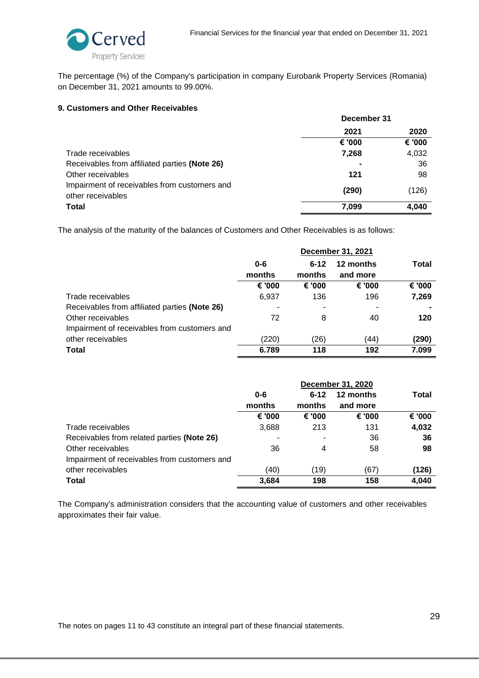

The percentage (%) of the Company's participation in company Eurobank Property Services (Romania) on December 31, 2021 amounts to 99.00%.

# <span id="page-28-0"></span>**9. Customers and Other Receivables**

|                                                                   | December 31 |        |  |
|-------------------------------------------------------------------|-------------|--------|--|
|                                                                   | 2021        | 2020   |  |
|                                                                   | € '000      | € '000 |  |
| Trade receivables                                                 | 7,268       | 4,032  |  |
| Receivables from affiliated parties (Note 26)                     |             | 36     |  |
| Other receivables                                                 | 121         | 98     |  |
| Impairment of receivables from customers and<br>other receivables | (290)       | (126)  |  |
| <b>Total</b>                                                      | 7,099       | 4,040  |  |

The analysis of the maturity of the balances of Customers and Other Receivables is as follows:

|                                               | December 31, 2021 |          |           |        |
|-----------------------------------------------|-------------------|----------|-----------|--------|
|                                               | $0 - 6$           | $6 - 12$ | 12 months | Total  |
|                                               | months            | months   | and more  |        |
|                                               | € '000            | € '000   | € '000'   | € '000 |
| Trade receivables                             | 6,937             | 136      | 196       | 7,269  |
| Receivables from affiliated parties (Note 26) |                   | ٠        |           |        |
| Other receivables                             | 72                | 8        | 40        | 120    |
| Impairment of receivables from customers and  |                   |          |           |        |
| other receivables                             | (220)             | (26)     | (44)      | (290)  |
| Total                                         | 6.789             | 118      | 192       | 7.099  |

|                                              | <b>December 31, 2020</b> |          |           |        |
|----------------------------------------------|--------------------------|----------|-----------|--------|
|                                              | $0 - 6$                  | $6 - 12$ | 12 months | Total  |
|                                              | months                   | months   | and more  |        |
|                                              | € '000                   | € '000   | € '000    | € '000 |
| Trade receivables                            | 3,688                    | 213      | 131       | 4,032  |
| Receivables from related parties (Note 26)   |                          | ۰        | 36        | 36     |
| Other receivables                            | 36                       | 4        | 58        | 98     |
| Impairment of receivables from customers and |                          |          |           |        |
| other receivables                            | (40)                     | (19)     | (67)      | (126)  |
| Total                                        | 3,684                    | 198      | 158       | 4,040  |

The Company's administration considers that the accounting value of customers and other receivables approximates their fair value.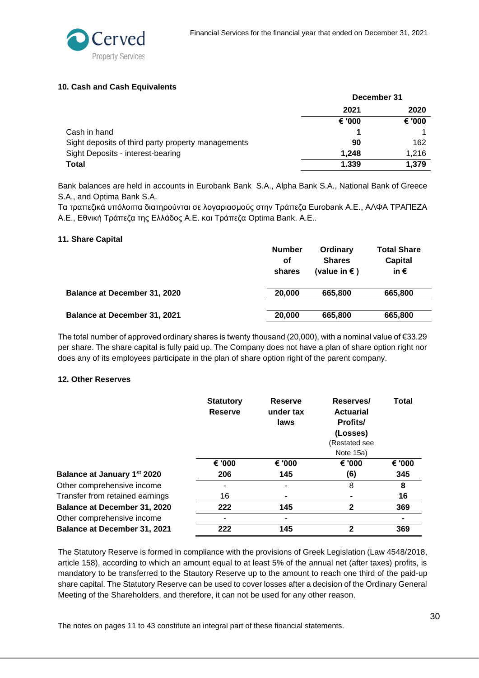

# <span id="page-29-0"></span>**10. Cash and Cash Equivalents**

|                                                    | December 31 |        |
|----------------------------------------------------|-------------|--------|
|                                                    | 2021        | 2020   |
|                                                    | € '000      | € '000 |
| Cash in hand                                       |             |        |
| Sight deposits of third party property managements | 90          | 162    |
| Sight Deposits - interest-bearing                  | 1.248       | 1,216  |
| Total                                              | 1.339       | 1,379  |

Bank balances are held in accounts in Eurobank Bank S.A., Alpha Bank S.A., National Bank of Greece S.A., and Optima Bank S.A.

Τα τραπεζικά υπόλοιπα διατηρούνται σε λογαριασμούς στην Τράπεζα Eurobank Α.Ε., ΑΛΦΑ ΤΡΑΠΕΖΑ Α.Ε., Εθνική Τράπεζα της Ελλάδος Α.Ε. και Τράπεζα Optima Bank. Α.Ε..

#### <span id="page-29-1"></span>**11. Share Capital**

|                                     | <b>Number</b><br>Οf<br>shares | Ordinary<br><b>Shares</b><br>(value in €) | <b>Total Share</b><br>Capital<br>in $\epsilon$ |
|-------------------------------------|-------------------------------|-------------------------------------------|------------------------------------------------|
| <b>Balance at December 31, 2020</b> | 20,000                        | 665,800                                   | 665,800                                        |
| Balance at December 31, 2021        | 20,000                        | 665,800                                   | 665,800                                        |

The total number of approved ordinary shares is twenty thousand (20,000), with a nominal value of  $\epsilon$ 33.29 per share. The share capital is fully paid up. The Company does not have a plan of share option right nor does any of its employees participate in the plan of share option right of the parent company.

# <span id="page-29-2"></span>**12. Other Reserves**

|                                     | <b>Statutory</b><br><b>Reserve</b> | <b>Reserve</b><br>under tax<br>laws | Reserves/<br><b>Actuarial</b><br><b>Profits/</b><br>(Losses)<br>(Restated see<br>Note 15a) | <b>Total</b> |
|-------------------------------------|------------------------------------|-------------------------------------|--------------------------------------------------------------------------------------------|--------------|
|                                     | € '000                             | € '000                              | € '000                                                                                     | € '000       |
| Balance at January 1st 2020         | 206                                | 145                                 | (6)                                                                                        | 345          |
| Other comprehensive income          | ٠                                  |                                     | 8                                                                                          | 8            |
| Transfer from retained earnings     | 16                                 |                                     |                                                                                            | 16           |
| <b>Balance at December 31, 2020</b> | 222                                | 145                                 | 2                                                                                          | 369          |
| Other comprehensive income          | ٠                                  |                                     |                                                                                            |              |
| <b>Balance at December 31, 2021</b> | 222                                | 145                                 | 2                                                                                          | 369          |

The Statutory Reserve is formed in compliance with the provisions of Greek Legislation (Law 4548/2018, article 158), according to which an amount equal to at least 5% of the annual net (after taxes) profits, is mandatory to be transferred to the Stautory Reserve up to the amount to reach one third of the paid-up share capital. The Statutory Reserve can be used to cover losses after a decision of the Ordinary General Meeting of the Shareholders, and therefore, it can not be used for any other reason.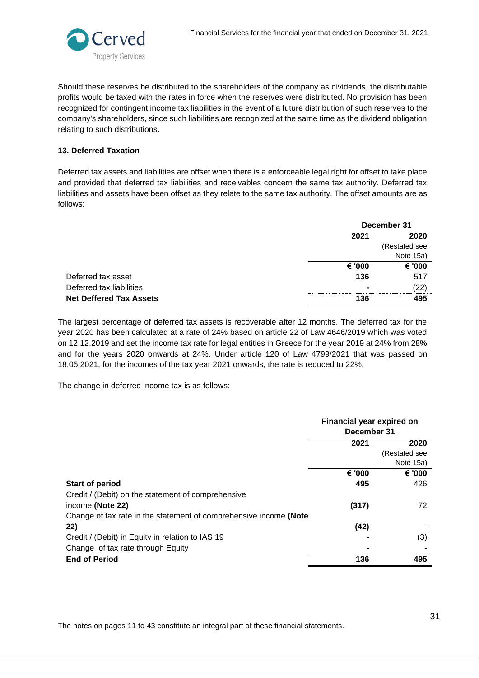

Should these reserves be distributed to the shareholders of the company as dividends, the distributable profits would be taxed with the rates in force when the reserves were distributed. No provision has been recognized for contingent income tax liabilities in the event of a future distribution of such reserves to the company's shareholders, since such liabilities are recognized at the same time as the dividend obligation relating to such distributions.

# <span id="page-30-0"></span>**13. Deferred Taxation**

Deferred tax assets and liabilities are offset when there is a enforceable legal right for offset to take place and provided that deferred tax liabilities and receivables concern the same tax authority. Deferred tax liabilities and assets have been offset as they relate to the same tax authority. The offset amounts are as follows:

|                                | December 31              |               |
|--------------------------------|--------------------------|---------------|
|                                | 2021                     | 2020          |
|                                |                          | (Restated see |
|                                |                          | Note 15a)     |
|                                | € '000                   | € '000        |
| Deferred tax asset             | 136                      | 517           |
| Deferred tax liabilities       | $\overline{\phantom{0}}$ | (22)          |
| <b>Net Deffered Tax Assets</b> | 136                      | 495           |

The largest percentage of deferred tax assets is recoverable after 12 months. The deferred tax for the year 2020 has been calculated at a rate of 24% based on article 22 of Law 4646/2019 which was voted on 12.12.2019 and set the income tax rate for legal entities in Greece for the year 2019 at 24% from 28% and for the years 2020 onwards at 24%. Under article 120 of Law 4799/2021 that was passed on 18.05.2021, for the incomes of the tax year 2021 onwards, the rate is reduced to 22%.

The change in deferred income tax is as follows:

|                                                                   | Financial year expired on<br>December 31 |               |
|-------------------------------------------------------------------|------------------------------------------|---------------|
|                                                                   | 2021                                     | 2020          |
|                                                                   |                                          | (Restated see |
|                                                                   |                                          | Note 15a)     |
|                                                                   | € '000                                   | € '000        |
| <b>Start of period</b>                                            | 495                                      | 426           |
| Credit / (Debit) on the statement of comprehensive                |                                          |               |
| income (Note 22)                                                  | (317)                                    | 72            |
| Change of tax rate in the statement of comprehensive income (Note |                                          |               |
| 22)                                                               | (42)                                     |               |
| Credit / (Debit) in Equity in relation to IAS 19                  |                                          | (3)           |
| Change of tax rate through Equity                                 |                                          |               |
| <b>End of Period</b>                                              | 136                                      | 495           |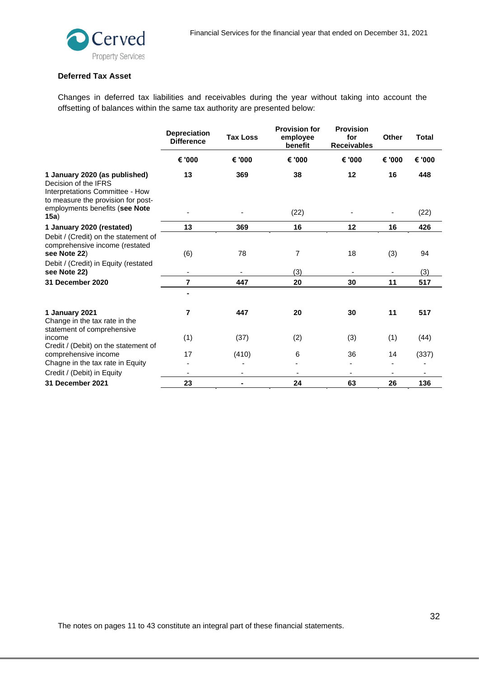

# **Deferred Tax Asset**

Changes in deferred tax liabilities and receivables during the year without taking into account the offsetting of balances within the same tax authority are presented below:

|                                                                                                                                | <b>Depreciation</b><br><b>Difference</b> | <b>Tax Loss</b> | <b>Provision for</b><br>employee<br>benefit | <b>Provision</b><br>for<br><b>Receivables</b> | <b>Other</b> | <b>Total</b> |
|--------------------------------------------------------------------------------------------------------------------------------|------------------------------------------|-----------------|---------------------------------------------|-----------------------------------------------|--------------|--------------|
|                                                                                                                                | € '000                                   | € '000          | € '000                                      | € '000                                        | € '000       | € '000       |
| 1 January 2020 (as published)<br>Decision of the IFRS<br>Interpretations Committee - How<br>to measure the provision for post- | 13                                       | 369             | 38                                          | 12                                            | 16           | 448          |
| employments benefits (see Note<br>15a)                                                                                         |                                          |                 | (22)                                        |                                               |              | (22)         |
| 1 January 2020 (restated)                                                                                                      | 13                                       | 369             | 16                                          | 12                                            | 16           | 426          |
| Debit / (Credit) on the statement of<br>comprehensive income (restated<br>see Note 22)                                         | (6)                                      | 78              | 7                                           | 18                                            | (3)          | 94           |
| Debit / (Credit) in Equity (restated<br>see Note 22)                                                                           |                                          |                 | (3)                                         |                                               |              | (3)          |
| 31 December 2020                                                                                                               | $\overline{7}$                           | 447             | 20                                          | 30                                            | 11           | 517          |
|                                                                                                                                |                                          |                 |                                             |                                               |              |              |
| 1 January 2021<br>Change in the tax rate in the<br>statement of comprehensive                                                  | 7                                        | 447             | 20                                          | 30                                            | 11           | 517          |
| income<br>Credit / (Debit) on the statement of                                                                                 | (1)                                      | (37)            | (2)                                         | (3)                                           | (1)          | (44)         |
| comprehensive income                                                                                                           | 17                                       | (410)           | 6                                           | 36                                            | 14           | (337)        |
| Chagne in the tax rate in Equity                                                                                               |                                          |                 |                                             |                                               |              |              |
| Credit / (Debit) in Equity                                                                                                     | ۰                                        |                 |                                             |                                               |              |              |
| 31 December 2021                                                                                                               | 23                                       |                 | 24                                          | 63                                            | 26           | 136          |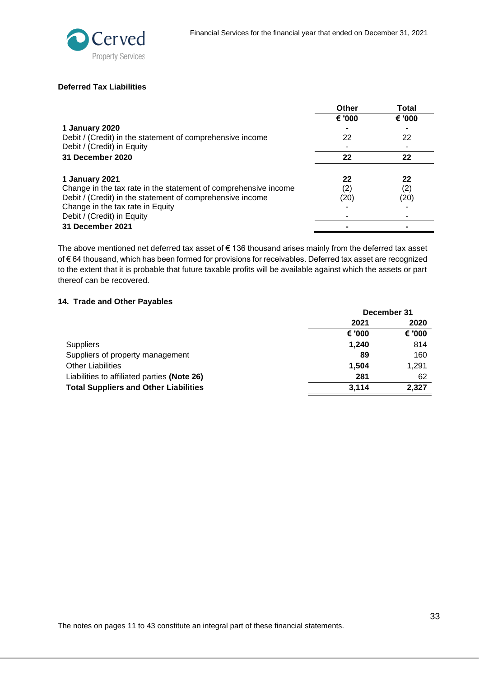

# **Deferred Tax Liabilities**

|                                                                 | Other  | Total  |
|-----------------------------------------------------------------|--------|--------|
|                                                                 | € '000 | € '000 |
| 1 January 2020                                                  |        |        |
| Debit / (Credit) in the statement of comprehensive income       | 22     | 22     |
| Debit / (Credit) in Equity                                      |        |        |
| 31 December 2020                                                | 22     | 22     |
|                                                                 |        |        |
| 1 January 2021                                                  | 22     | 22     |
| Change in the tax rate in the statement of comprehensive income | (2)    | (2)    |
| Debit / (Credit) in the statement of comprehensive income       | (20)   | (20)   |
| Change in the tax rate in Equity                                |        |        |
| Debit / (Credit) in Equity                                      |        |        |
| 31 December 2021                                                |        |        |

The above mentioned net deferred tax asset of € 136 thousand arises mainly from the deferred tax asset of € 64 thousand, which has been formed for provisions for receivables. Deferred tax asset are recognized to the extent that it is probable that future taxable profits will be available against which the assets or part thereof can be recovered.

# <span id="page-32-0"></span>**14. Trade and Other Payables**

|                                              | December 31 |        |
|----------------------------------------------|-------------|--------|
|                                              | 2021        | 2020   |
|                                              | € '000      | € '000 |
| <b>Suppliers</b>                             | 1.240       | 814    |
| Suppliers of property management             | 89          | 160    |
| <b>Other Liabilities</b>                     | 1.504       | 1,291  |
| Liabilities to affiliated parties (Note 26)  | 281         | 62     |
| <b>Total Suppliers and Other Liabilities</b> | 3.114       | 2,327  |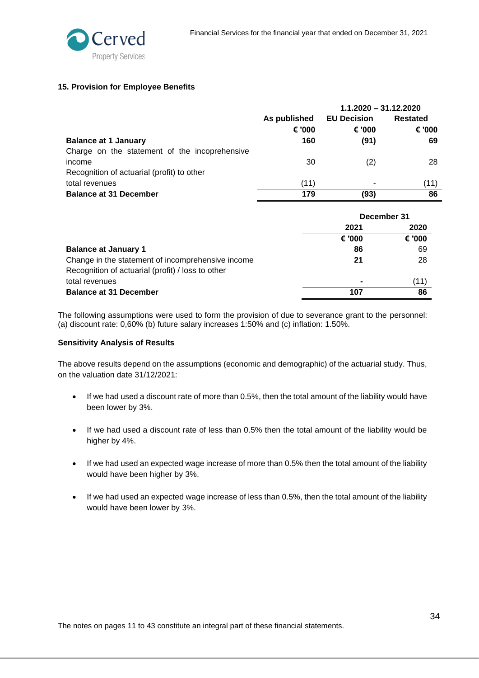

# <span id="page-33-0"></span>**15. Provision for Employee Benefits**

|                                               | $1.1.2020 - 31.12.2020$ |                    |          |
|-----------------------------------------------|-------------------------|--------------------|----------|
|                                               | As published            | <b>EU Decision</b> | Restated |
|                                               | € '000                  | € '000             | € '000   |
| <b>Balance at 1 January</b>                   | 160                     | (91)               | 69       |
| Charge on the statement of the incoprehensive |                         |                    |          |
| income                                        | 30                      | (2)                | 28       |
| Recognition of actuarial (profit) to other    |                         |                    |          |
| total revenues                                | (11)                    | ۰                  | (11)     |
| <b>Balance at 31 December</b>                 | 179                     | (93)               | 86       |

|                                                   | December 31 |        |
|---------------------------------------------------|-------------|--------|
|                                                   | 2021        | 2020   |
|                                                   | € '000      | € '000 |
| <b>Balance at January 1</b>                       | 86          | 69     |
| Change in the statement of incomprehensive income | 21          | 28     |
| Recognition of actuarial (profit) / loss to other |             |        |
| total revenues                                    |             | (11)   |
| <b>Balance at 31 December</b>                     | 107         | 86     |

The following assumptions were used to form the provision of due to severance grant to the personnel: (a) discount rate: 0,60% (b) future salary increases 1:50% and (c) inflation: 1.50%.

#### **Sensitivity Analysis of Results**

The above results depend on the assumptions (economic and demographic) of the actuarial study. Thus, on the valuation date 31/12/2021:

- If we had used a discount rate of more than 0.5%, then the total amount of the liability would have been lower by 3%.
- If we had used a discount rate of less than 0.5% then the total amount of the liability would be higher by 4%.
- If we had used an expected wage increase of more than 0.5% then the total amount of the liability would have been higher by 3%.
- If we had used an expected wage increase of less than 0.5%, then the total amount of the liability would have been lower by 3%.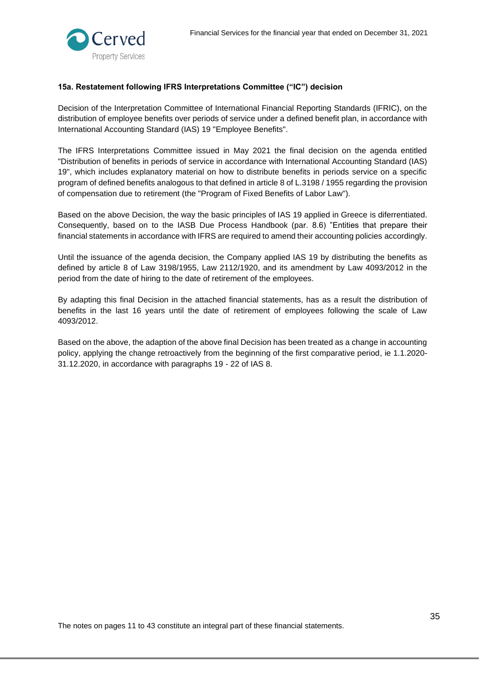

# <span id="page-34-0"></span>**15a. Restatement following IFRS Interpretations Committee ("IC") decision**

Decision of the Interpretation Committee of International Financial Reporting Standards (IFRIC), on the distribution of employee benefits over periods of service under a defined benefit plan, in accordance with International Accounting Standard (IAS) 19 "Employee Benefits".

The IFRS Interpretations Committee issued in May 2021 the final decision on the agenda entitled "Distribution of benefits in periods of service in accordance with International Accounting Standard (IAS) 19", which includes explanatory material on how to distribute benefits in periods service on a specific program of defined benefits analogous to that defined in article 8 of L.3198 / 1955 regarding the provision of compensation due to retirement (the "Program of Fixed Benefits of Labor Law").

Based on the above Decision, the way the basic principles of IAS 19 applied in Greece is diferrentiated. Consequently, based on to the IASB Due Process Handbook (par. 8.6) "Entities that prepare their financial statements in accordance with IFRS are required to amend their accounting policies accordingly.

Until the issuance of the agenda decision, the Company applied IAS 19 by distributing the benefits as defined by article 8 of Law 3198/1955, Law 2112/1920, and its amendment by Law 4093/2012 in the period from the date of hiring to the date of retirement of the employees.

By adapting this final Decision in the attached financial statements, has as a result the distribution of benefits in the last 16 years until the date of retirement of employees following the scale of Law 4093/2012.

Based on the above, the adaption of the above final Decision has been treated as a change in accounting policy, applying the change retroactively from the beginning of the first comparative period, ie 1.1.2020- 31.12.2020, in accordance with paragraphs 19 - 22 of IAS 8.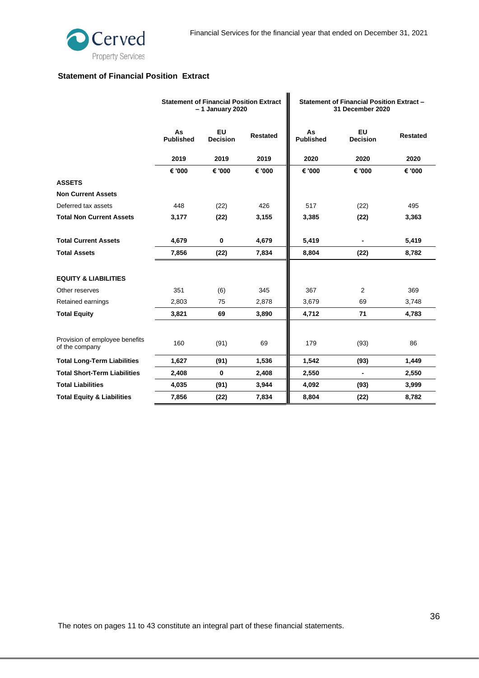

# **Statement of Financial Position Extract**

|                                                  |                        | <b>Statement of Financial Position Extract</b><br>- 1 January 2020 |                 | Statement of Financial Position Extract -<br>31 December 2020 |                       |                 |
|--------------------------------------------------|------------------------|--------------------------------------------------------------------|-----------------|---------------------------------------------------------------|-----------------------|-----------------|
|                                                  | As<br><b>Published</b> | EU<br><b>Decision</b>                                              | <b>Restated</b> | As<br><b>Published</b>                                        | EU<br><b>Decision</b> | <b>Restated</b> |
|                                                  | 2019                   | 2019                                                               | 2019            | 2020                                                          | 2020                  | 2020            |
|                                                  | € '000                 | € '000                                                             | € '000          | € '000                                                        | € '000                | € '000          |
| <b>ASSETS</b>                                    |                        |                                                                    |                 |                                                               |                       |                 |
| <b>Non Current Assets</b>                        |                        |                                                                    |                 |                                                               |                       |                 |
| Deferred tax assets                              | 448                    | (22)                                                               | 426             | 517                                                           | (22)                  | 495             |
| <b>Total Non Current Assets</b>                  | 3,177                  | (22)                                                               | 3,155           | 3,385                                                         | (22)                  | 3,363           |
| <b>Total Current Assets</b>                      | 4,679                  | $\mathbf 0$                                                        | 4,679           | 5,419                                                         |                       | 5,419           |
| <b>Total Assets</b>                              | 7,856                  | (22)                                                               | 7,834           | 8,804                                                         | (22)                  | 8,782           |
| <b>EQUITY &amp; LIABILITIES</b>                  |                        |                                                                    |                 |                                                               |                       |                 |
| Other reserves                                   | 351                    | (6)                                                                | 345             | 367                                                           | 2                     | 369             |
| Retained earnings                                | 2,803                  | 75                                                                 | 2,878           | 3,679                                                         | 69                    | 3,748           |
| <b>Total Equity</b>                              | 3,821                  | 69                                                                 | 3,890           | 4,712                                                         | 71                    | 4,783           |
| Provision of employee benefits<br>of the company | 160                    | (91)                                                               | 69              | 179                                                           | (93)                  | 86              |
| <b>Total Long-Term Liabilities</b>               | 1,627                  | (91)                                                               | 1,536           | 1,542                                                         | (93)                  | 1,449           |
| <b>Total Short-Term Liabilities</b>              | 2,408                  | $\bf{0}$                                                           | 2,408           | 2,550                                                         | $\blacksquare$        | 2,550           |
| <b>Total Liabilities</b>                         | 4,035                  | (91)                                                               | 3,944           | 4,092                                                         | (93)                  | 3,999           |
| <b>Total Equity &amp; Liabilities</b>            | 7,856                  | (22)                                                               | 7,834           | 8,804                                                         | (22)                  | 8,782           |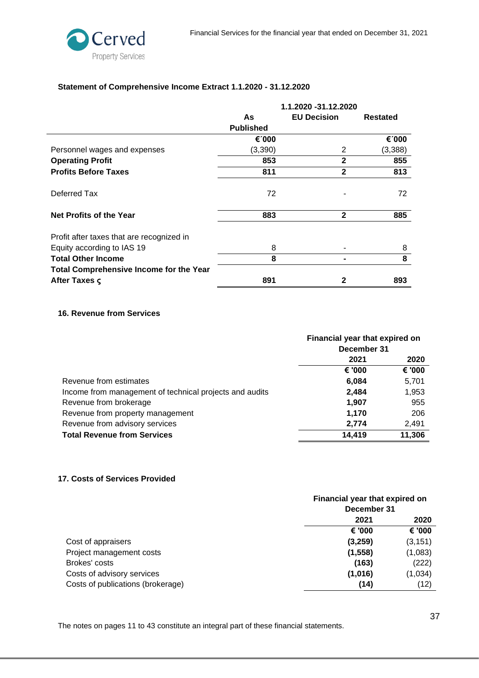

# **Statement of Comprehensive Income Extract 1.1.2020 - 31.12.2020**

|                                           | 1.1.2020 -31.12.2020 |                    |          |
|-------------------------------------------|----------------------|--------------------|----------|
|                                           | As                   | <b>EU Decision</b> | Restated |
|                                           | <b>Published</b>     |                    |          |
|                                           | €1000                |                    | €1000    |
| Personnel wages and expenses              | (3,390)              | 2                  | (3,388)  |
| <b>Operating Profit</b>                   | 853                  | $\mathbf{2}$       | 855      |
| <b>Profits Before Taxes</b>               | 811                  | $\mathbf{2}$       | 813      |
| Deferred Tax                              | 72                   |                    | 72       |
| <b>Net Profits of the Year</b>            | 883                  | $\mathbf{2}$       | 885      |
| Profit after taxes that are recognized in |                      |                    |          |
| Equity according to IAS 19                | 8                    |                    | 8        |
| <b>Total Other Income</b>                 | 8                    |                    | 8        |
| Total Comprehensive Income for the Year   |                      |                    |          |
| After Taxes $\varsigma$                   | 891                  | 2                  | 893      |

# <span id="page-36-0"></span>**16. Revenue from Services**

|                                                         | Financial year that expired on |        |
|---------------------------------------------------------|--------------------------------|--------|
|                                                         | December 31                    |        |
|                                                         | 2021                           | 2020   |
|                                                         | € '000                         | € '000 |
| Revenue from estimates                                  | 6,084                          | 5,701  |
| Income from management of technical projects and audits | 2.484                          | 1,953  |
| Revenue from brokerage                                  | 1.907                          | 955    |
| Revenue from property management                        | 1,170                          | 206    |
| Revenue from advisory services                          | 2,774                          | 2,491  |
| <b>Total Revenue from Services</b>                      | 14,419                         | 11,306 |

#### <span id="page-36-1"></span>**17. Costs of Services Provided**

|                                   | Financial year that expired on<br>December 31 |          |
|-----------------------------------|-----------------------------------------------|----------|
|                                   | 2021                                          | 2020     |
|                                   | € '000                                        | € '000   |
| Cost of appraisers                | (3,259)                                       | (3, 151) |
| Project management costs          | (1, 558)                                      | (1,083)  |
| Brokes' costs                     | (163)                                         | (222)    |
| Costs of advisory services        | (1,016)                                       | (1,034)  |
| Costs of publications (brokerage) | (14)                                          | (12)     |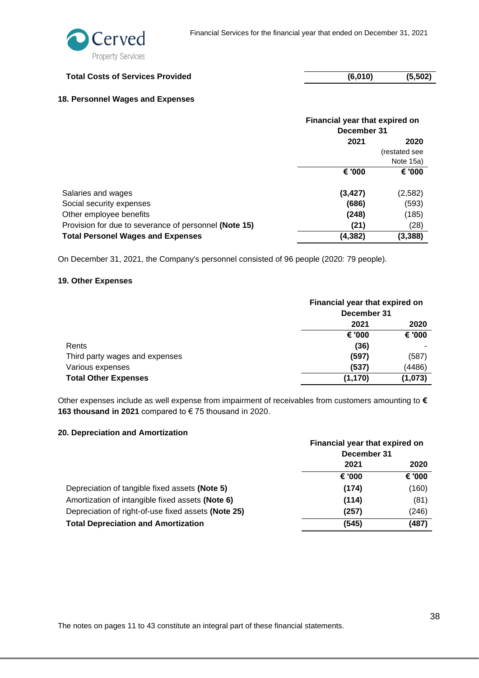| <b>Total Costs of Services Provided</b> | (6,010) | (5, 502) |
|-----------------------------------------|---------|----------|
|                                         |         |          |

# <span id="page-37-0"></span>**18. Personnel Wages and Expenses**

|                                                       | Financial year that expired on<br>December 31 |               |
|-------------------------------------------------------|-----------------------------------------------|---------------|
|                                                       | 2021                                          | 2020          |
|                                                       |                                               | (restated see |
|                                                       |                                               | Note 15a)     |
|                                                       | € '000                                        | € '000        |
|                                                       |                                               |               |
| Salaries and wages                                    | (3, 427)                                      | (2,582)       |
| Social security expenses                              | (686)                                         | (593)         |
| Other employee benefits                               | (248)                                         | (185)         |
| Provision for due to severance of personnel (Note 15) | (21)                                          | (28)          |
| <b>Total Personel Wages and Expenses</b>              | (4,382)                                       | (3,388)       |

On December 31, 2021, the Company's personnel consisted of 96 people (2020: 79 people).

# <span id="page-37-1"></span>**19. Other Expenses**

|                                | Financial year that expired on<br>December 31 |         |
|--------------------------------|-----------------------------------------------|---------|
|                                |                                               |         |
|                                | 2021                                          | 2020    |
|                                | € '000                                        | € '000  |
| Rents                          | (36)                                          |         |
| Third party wages and expenses | (597)                                         | (587)   |
| Various expenses               | (537)                                         | (4486)  |
| <b>Total Other Expenses</b>    | (1, 170)                                      | (1,073) |

Other expenses include as well expense from impairment of receivables from customers amounting to **€ 163 thousand in 2021** compared to € 75 thousand in 2020.

#### <span id="page-37-2"></span>**20. Depreciation and Amortization**

|                                                     |             | Financial year that expired on |  |
|-----------------------------------------------------|-------------|--------------------------------|--|
|                                                     | December 31 |                                |  |
|                                                     | 2021        | 2020                           |  |
|                                                     | € '000      | € '000                         |  |
| Depreciation of tangible fixed assets (Note 5)      | (174)       | (160)                          |  |
| Amortization of intangible fixed assets (Note 6)    | (114)       | (81)                           |  |
| Depreciation of right-of-use fixed assets (Note 25) | (257)       | (246)                          |  |
| <b>Total Depreciation and Amortization</b>          | (545)       | (487)                          |  |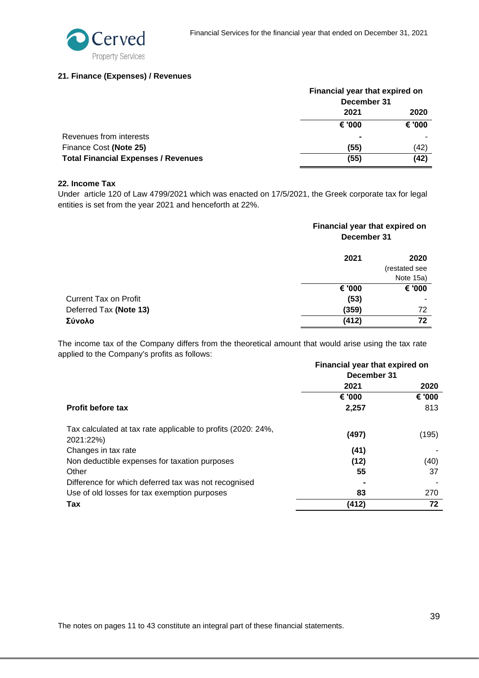

#### <span id="page-38-0"></span>**21. Finance (Expenses) / Revenues**

|                                            |             | Financial year that expired on |  |
|--------------------------------------------|-------------|--------------------------------|--|
|                                            | December 31 |                                |  |
|                                            | 2021        | 2020                           |  |
|                                            | € '000      | € '000                         |  |
| Revenues from interests                    |             |                                |  |
| Finance Cost (Note 25)                     | (55)        | (42)                           |  |
| <b>Total Financial Expenses / Revenues</b> | (55)        | (42)                           |  |

#### <span id="page-38-1"></span>**22. Income Tax**

Under article 120 of Law 4799/2021 which was enacted on 17/5/2021, the Greek corporate tax for legal entities is set from the year 2021 and henceforth at 22%.

|                        | Financial year that expired on<br>December 31 |                                    |
|------------------------|-----------------------------------------------|------------------------------------|
|                        | 2021                                          | 2020<br>(restated see<br>Note 15a) |
|                        | € '000                                        | € '000                             |
| Current Tax on Profit  | (53)                                          |                                    |
| Deferred Tax (Note 13) | (359)                                         | 72                                 |
| Σύνολο                 | (412)                                         | 72                                 |

The income tax of the Company differs from the theoretical amount that would arise using the tax rate applied to the Company's profits as follows:

|                                                                           | Financial year that expired on |        |
|---------------------------------------------------------------------------|--------------------------------|--------|
|                                                                           | December 31                    |        |
|                                                                           | 2021                           | 2020   |
|                                                                           | € '000                         | € '000 |
| <b>Profit before tax</b>                                                  | 2,257                          | 813    |
| Tax calculated at tax rate applicable to profits (2020: 24%,<br>2021:22%) | (497)                          | (195)  |
| Changes in tax rate                                                       | (41)                           |        |
| Non deductible expenses for taxation purposes                             | (12)                           | (40)   |
| Other                                                                     | 55                             | 37     |
| Difference for which deferred tax was not recognised                      |                                |        |
| Use of old losses for tax exemption purposes                              | 83                             | 270    |
| Tax                                                                       | (412)                          | 72     |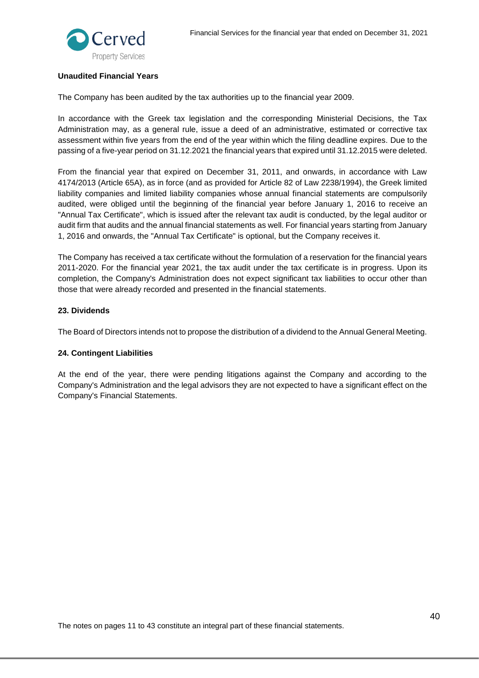

#### **Unaudited Financial Years**

The Company has been audited by the tax authorities up to the financial year 2009.

In accordance with the Greek tax legislation and the corresponding Ministerial Decisions, the Tax Administration may, as a general rule, issue a deed of an administrative, estimated or corrective tax assessment within five years from the end of the year within which the filing deadline expires. Due to the passing of a five-year period on 31.12.2021 the financial years that expired until 31.12.2015 were deleted.

From the financial year that expired on December 31, 2011, and onwards, in accordance with Law 4174/2013 (Article 65A), as in force (and as provided for Article 82 of Law 2238/1994), the Greek limited liability companies and limited liability companies whose annual financial statements are compulsorily audited, were obliged until the beginning of the financial year before January 1, 2016 to receive an "Annual Tax Certificate", which is issued after the relevant tax audit is conducted, by the legal auditor or audit firm that audits and the annual financial statements as well. For financial years starting from January 1, 2016 and onwards, the "Annual Tax Certificate" is optional, but the Company receives it.

The Company has received a tax certificate without the formulation of a reservation for the financial years 2011-2020. For the financial year 2021, the tax audit under the tax certificate is in progress. Upon its completion, the Company's Administration does not expect significant tax liabilities to occur other than those that were already recorded and presented in the financial statements.

#### <span id="page-39-0"></span>**23. Dividends**

The Board of Directors intends not to propose the distribution of a dividend to the Annual General Meeting.

#### <span id="page-39-1"></span>**24. Contingent Liabilities**

At the end of the year, there were pending litigations against the Company and according to the Company's Administration and the legal advisors they are not expected to have a significant effect on the Company's Financial Statements.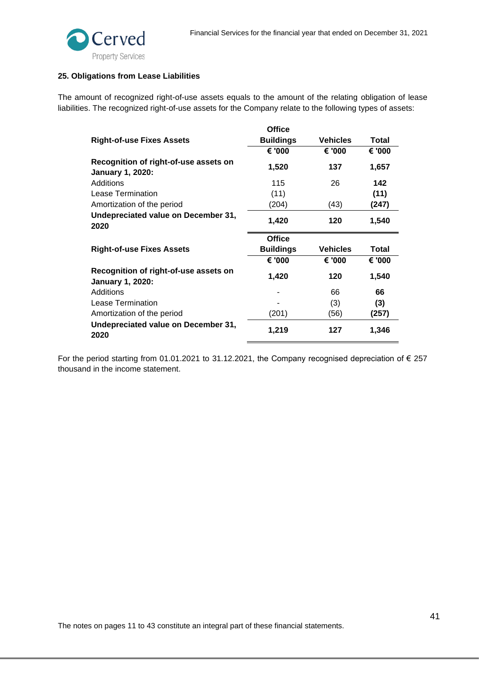

#### <span id="page-40-0"></span>**25. Obligations from Lease Liabilities**

The amount of recognized right-of-use assets equals to the amount of the relating obligation of lease liabilities. The recognized right-of-use assets for the Company relate to the following types of assets:

|                                                                  | <b>Office</b>    |                 |        |
|------------------------------------------------------------------|------------------|-----------------|--------|
| Right-of-use Fixes Assets                                        | <b>Buildings</b> | <b>Vehicles</b> | Total  |
|                                                                  | € '000           | € '000          | € '000 |
| Recognition of right-of-use assets on<br><b>January 1, 2020:</b> | 1,520            | 137             | 1,657  |
| Additions                                                        | 115              | 26              | 142    |
| Lease Termination                                                | (11)             |                 | (11)   |
| Amortization of the period                                       | (204)            | (43)            | (247)  |
| Undepreciated value on December 31,<br>2020                      | 1,420            | 120             | 1,540  |
|                                                                  |                  |                 |        |
|                                                                  | <b>Office</b>    |                 |        |
| Right-of-use Fixes Assets                                        | <b>Buildings</b> | <b>Vehicles</b> | Total  |
|                                                                  | € '000           | € '000          | € '000 |
| Recognition of right-of-use assets on<br><b>January 1, 2020:</b> | 1,420            | 120             | 1,540  |
| Additions                                                        |                  | 66              | 66     |
| Lease Termination                                                |                  | (3)             | (3)    |
| Amortization of the period                                       | (201)            | (56)            | (257)  |

For the period starting from 01.01.2021 to 31.12.2021, the Company recognised depreciation of € 257 thousand in the income statement.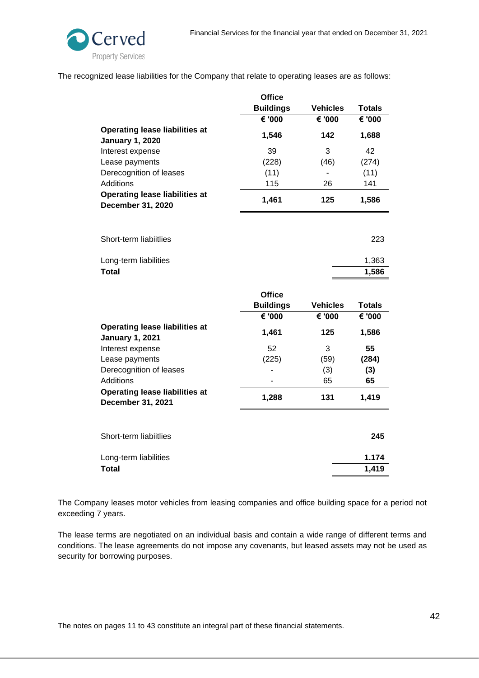

The recognized lease liabilities for the Company that relate to operating leases are as follows:

|                                                                   | <b>Office</b>    |                 |               |
|-------------------------------------------------------------------|------------------|-----------------|---------------|
|                                                                   | <b>Buildings</b> | <b>Vehicles</b> | <b>Totals</b> |
|                                                                   | € '000           | € '000          | € '000        |
| <b>Operating lease liabilities at</b><br><b>January 1, 2020</b>   | 1,546            | 142             | 1,688         |
| Interest expense                                                  | 39               | 3               | 42            |
| Lease payments                                                    | (228)            | (46)            | (274)         |
| Derecognition of leases                                           | (11)             |                 | (11)          |
| <b>Additions</b>                                                  | 115              | 26              | 141           |
| <b>Operating lease liabilities at</b><br><b>December 31, 2020</b> | 1,461            | 125             | 1,586         |
|                                                                   |                  |                 |               |
| Short-term liabiitlies                                            |                  |                 | 223           |
| Long-term liabilities                                             |                  |                 | 1,363         |
| <b>Total</b>                                                      |                  |                 | 1,586         |
|                                                                   | <b>Office</b>    |                 |               |
|                                                                   | <b>Buildings</b> | <b>Vehicles</b> | <b>Totals</b> |
|                                                                   | € '000           | € '000          | € '000        |
| <b>Operating lease liabilities at</b><br><b>January 1, 2021</b>   | 1,461            | 125             | 1,586         |
| Interest expense                                                  | 52               | 3               | 55            |
| Lease payments                                                    | (225)            | (59)            | (284)         |
| Derecognition of leases                                           |                  | (3)             | (3)           |
| Additions                                                         |                  | 65              | 65            |
| <b>Operating lease liabilities at</b><br>December 31, 2021        | 1,288            | 131             | 1,419         |
|                                                                   |                  |                 |               |
| Short-term liabiitlies                                            |                  |                 | 245           |
| Long-term liabilities                                             |                  |                 | 1.174         |
| <b>Total</b>                                                      |                  |                 | 1,419         |

The Company leases motor vehicles from leasing companies and office building space for a period not exceeding 7 years.

The lease terms are negotiated on an individual basis and contain a wide range of different terms and conditions. The lease agreements do not impose any covenants, but leased assets may not be used as security for borrowing purposes.